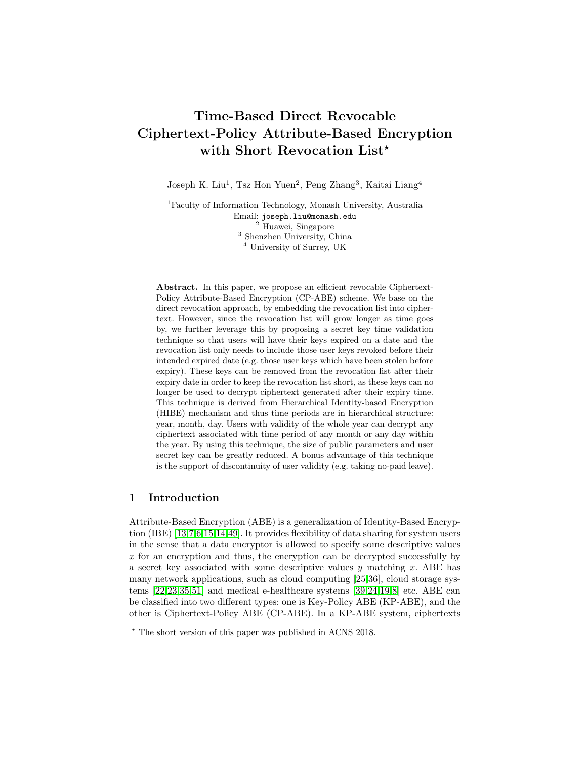# Time-Based Direct Revocable Ciphertext-Policy Attribute-Based Encryption with Short Revocation List<sup>\*</sup>

Joseph K. Liu<sup>1</sup>, Tsz Hon Yuen<sup>2</sup>, Peng Zhang<sup>3</sup>, Kaitai Liang<sup>4</sup>

Faculty of Information Technology, Monash University, Australia Email: joseph.liu@monash.edu Huawei, Singapore Shenzhen University, China University of Surrey, UK

Abstract. In this paper, we propose an efficient revocable Ciphertext-Policy Attribute-Based Encryption (CP-ABE) scheme. We base on the direct revocation approach, by embedding the revocation list into ciphertext. However, since the revocation list will grow longer as time goes by, we further leverage this by proposing a secret key time validation technique so that users will have their keys expired on a date and the revocation list only needs to include those user keys revoked before their intended expired date (e.g. those user keys which have been stolen before expiry). These keys can be removed from the revocation list after their expiry date in order to keep the revocation list short, as these keys can no longer be used to decrypt ciphertext generated after their expiry time. This technique is derived from Hierarchical Identity-based Encryption (HIBE) mechanism and thus time periods are in hierarchical structure: year, month, day. Users with validity of the whole year can decrypt any ciphertext associated with time period of any month or any day within the year. By using this technique, the size of public parameters and user secret key can be greatly reduced. A bonus advantage of this technique is the support of discontinuity of user validity (e.g. taking no-paid leave).

# <span id="page-0-0"></span>1 Introduction

Attribute-Based Encryption (ABE) is a generalization of Identity-Based Encryption (IBE) [\[13](#page-15-0)[,7,](#page-15-1)[6,](#page-15-2)[15,](#page-15-3)[14](#page-15-4)[,49\]](#page-17-0). It provides flexibility of data sharing for system users in the sense that a data encryptor is allowed to specify some descriptive values  $x$  for an encryption and thus, the encryption can be decrypted successfully by a secret key associated with some descriptive values  $y$  matching  $x$ . ABE has many network applications, such as cloud computing [\[25](#page-16-0)[,36\]](#page-17-1), cloud storage systems [\[22,](#page-16-1)[23](#page-16-2)[,35](#page-16-3)[,51\]](#page-17-2) and medical e-healthcare systems [\[39,](#page-17-3)[24,](#page-16-4)[19](#page-15-5)[,8\]](#page-15-6) etc. ABE can be classified into two different types: one is Key-Policy ABE (KP-ABE), and the other is Ciphertext-Policy ABE (CP-ABE). In a KP-ABE system, ciphertexts

<sup>?</sup> The short version of this paper was published in ACNS 2018.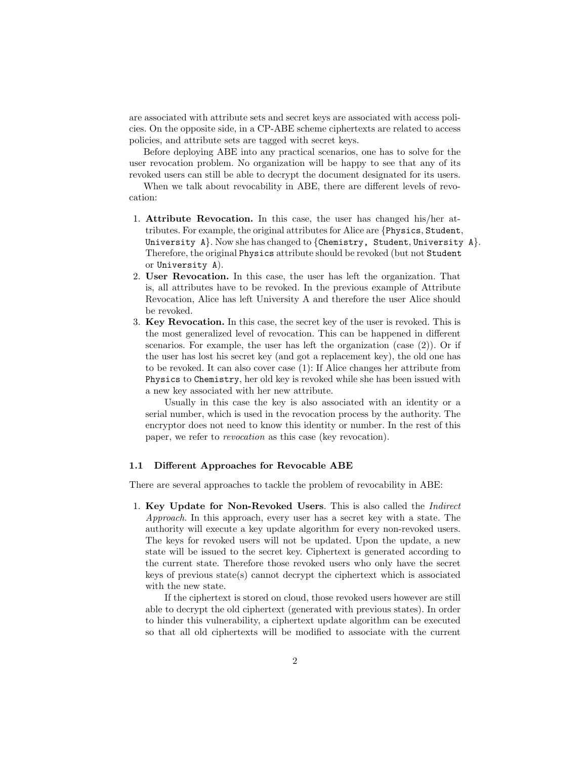are associated with attribute sets and secret keys are associated with access policies. On the opposite side, in a CP-ABE scheme ciphertexts are related to access policies, and attribute sets are tagged with secret keys.

Before deploying ABE into any practical scenarios, one has to solve for the user revocation problem. No organization will be happy to see that any of its revoked users can still be able to decrypt the document designated for its users.

When we talk about revocability in ABE, there are different levels of revocation:

- 1. Attribute Revocation. In this case, the user has changed his/her attributes. For example, the original attributes for Alice are {Physics, Student, University  $A$ . Now she has changed to {Chemistry, Student, University  $A$ }. Therefore, the original Physics attribute should be revoked (but not Student or University A).
- 2. User Revocation. In this case, the user has left the organization. That is, all attributes have to be revoked. In the previous example of Attribute Revocation, Alice has left University A and therefore the user Alice should be revoked.
- 3. Key Revocation. In this case, the secret key of the user is revoked. This is the most generalized level of revocation. This can be happened in different scenarios. For example, the user has left the organization (case (2)). Or if the user has lost his secret key (and got a replacement key), the old one has to be revoked. It can also cover case (1): If Alice changes her attribute from Physics to Chemistry, her old key is revoked while she has been issued with a new key associated with her new attribute.

Usually in this case the key is also associated with an identity or a serial number, which is used in the revocation process by the authority. The encryptor does not need to know this identity or number. In the rest of this paper, we refer to revocation as this case (key revocation).

#### 1.1 Different Approaches for Revocable ABE

There are several approaches to tackle the problem of revocability in ABE:

1. Key Update for Non-Revoked Users. This is also called the Indirect Approach. In this approach, every user has a secret key with a state. The authority will execute a key update algorithm for every non-revoked users. The keys for revoked users will not be updated. Upon the update, a new state will be issued to the secret key. Ciphertext is generated according to the current state. Therefore those revoked users who only have the secret keys of previous state(s) cannot decrypt the ciphertext which is associated with the new state.

If the ciphertext is stored on cloud, those revoked users however are still able to decrypt the old ciphertext (generated with previous states). In order to hinder this vulnerability, a ciphertext update algorithm can be executed so that all old ciphertexts will be modified to associate with the current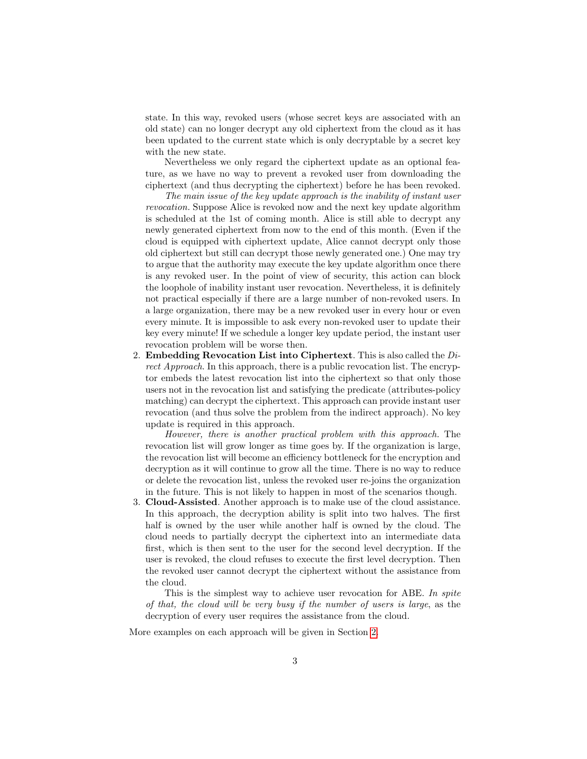state. In this way, revoked users (whose secret keys are associated with an old state) can no longer decrypt any old ciphertext from the cloud as it has been updated to the current state which is only decryptable by a secret key with the new state.

Nevertheless we only regard the ciphertext update as an optional feature, as we have no way to prevent a revoked user from downloading the ciphertext (and thus decrypting the ciphertext) before he has been revoked.

The main issue of the key update approach is the inability of instant user revocation. Suppose Alice is revoked now and the next key update algorithm is scheduled at the 1st of coming month. Alice is still able to decrypt any newly generated ciphertext from now to the end of this month. (Even if the cloud is equipped with ciphertext update, Alice cannot decrypt only those old ciphertext but still can decrypt those newly generated one.) One may try to argue that the authority may execute the key update algorithm once there is any revoked user. In the point of view of security, this action can block the loophole of inability instant user revocation. Nevertheless, it is definitely not practical especially if there are a large number of non-revoked users. In a large organization, there may be a new revoked user in every hour or even every minute. It is impossible to ask every non-revoked user to update their key every minute! If we schedule a longer key update period, the instant user revocation problem will be worse then.

2. Embedding Revocation List into Ciphertext. This is also called the  $Di$ rect Approach. In this approach, there is a public revocation list. The encryptor embeds the latest revocation list into the ciphertext so that only those users not in the revocation list and satisfying the predicate (attributes-policy matching) can decrypt the ciphertext. This approach can provide instant user revocation (and thus solve the problem from the indirect approach). No key update is required in this approach.

However, there is another practical problem with this approach. The revocation list will grow longer as time goes by. If the organization is large, the revocation list will become an efficiency bottleneck for the encryption and decryption as it will continue to grow all the time. There is no way to reduce or delete the revocation list, unless the revoked user re-joins the organization in the future. This is not likely to happen in most of the scenarios though.

3. Cloud-Assisted. Another approach is to make use of the cloud assistance. In this approach, the decryption ability is split into two halves. The first half is owned by the user while another half is owned by the cloud. The cloud needs to partially decrypt the ciphertext into an intermediate data first, which is then sent to the user for the second level decryption. If the user is revoked, the cloud refuses to execute the first level decryption. Then the revoked user cannot decrypt the ciphertext without the assistance from the cloud.

This is the simplest way to achieve user revocation for ABE. In spite of that, the cloud will be very busy if the number of users is large, as the decryption of every user requires the assistance from the cloud.

More examples on each approach will be given in Section [2.](#page-5-0)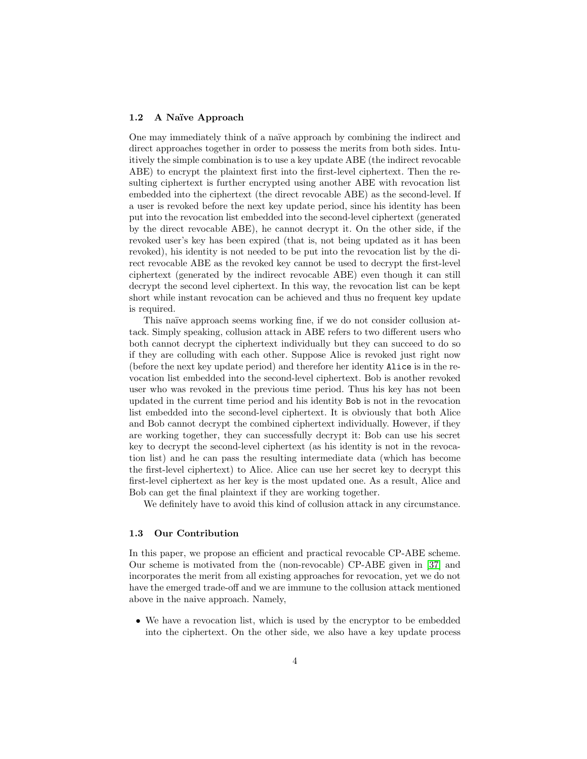#### <span id="page-3-0"></span>1.2 A Naïve Approach

One may immediately think of a naïve approach by combining the indirect and direct approaches together in order to possess the merits from both sides. Intuitively the simple combination is to use a key update ABE (the indirect revocable ABE) to encrypt the plaintext first into the first-level ciphertext. Then the resulting ciphertext is further encrypted using another ABE with revocation list embedded into the ciphertext (the direct revocable ABE) as the second-level. If a user is revoked before the next key update period, since his identity has been put into the revocation list embedded into the second-level ciphertext (generated by the direct revocable ABE), he cannot decrypt it. On the other side, if the revoked user's key has been expired (that is, not being updated as it has been revoked), his identity is not needed to be put into the revocation list by the direct revocable ABE as the revoked key cannot be used to decrypt the first-level ciphertext (generated by the indirect revocable ABE) even though it can still decrypt the second level ciphertext. In this way, the revocation list can be kept short while instant revocation can be achieved and thus no frequent key update is required.

This naïve approach seems working fine, if we do not consider collusion attack. Simply speaking, collusion attack in ABE refers to two different users who both cannot decrypt the ciphertext individually but they can succeed to do so if they are colluding with each other. Suppose Alice is revoked just right now (before the next key update period) and therefore her identity Alice is in the revocation list embedded into the second-level ciphertext. Bob is another revoked user who was revoked in the previous time period. Thus his key has not been updated in the current time period and his identity Bob is not in the revocation list embedded into the second-level ciphertext. It is obviously that both Alice and Bob cannot decrypt the combined ciphertext individually. However, if they are working together, they can successfully decrypt it: Bob can use his secret key to decrypt the second-level ciphertext (as his identity is not in the revocation list) and he can pass the resulting intermediate data (which has become the first-level ciphertext) to Alice. Alice can use her secret key to decrypt this first-level ciphertext as her key is the most updated one. As a result, Alice and Bob can get the final plaintext if they are working together.

We definitely have to avoid this kind of collusion attack in any circumstance.

#### 1.3 Our Contribution

In this paper, we propose an efficient and practical revocable CP-ABE scheme. Our scheme is motivated from the (non-revocable) CP-ABE given in [\[37\]](#page-17-4) and incorporates the merit from all existing approaches for revocation, yet we do not have the emerged trade-off and we are immune to the collusion attack mentioned above in the naive approach. Namely,

• We have a revocation list, which is used by the encryptor to be embedded into the ciphertext. On the other side, we also have a key update process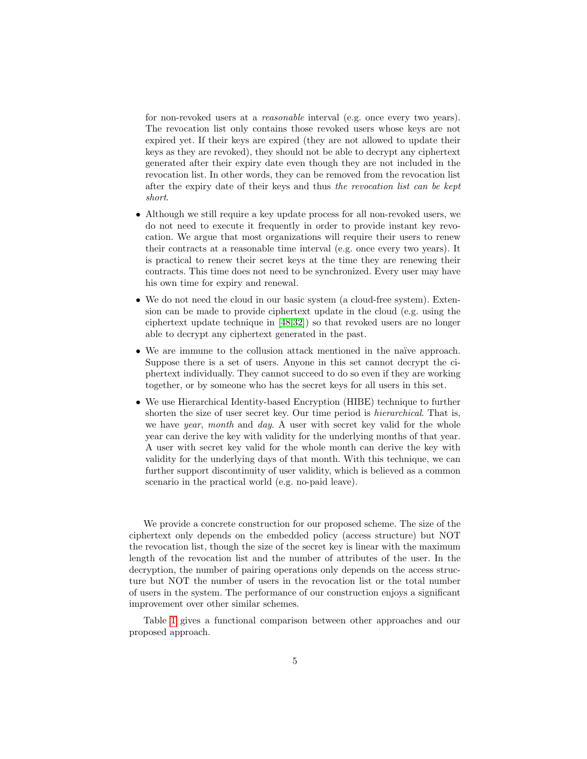for non-revoked users at a reasonable interval (e.g. once every two years). The revocation list only contains those revoked users whose keys are not expired yet. If their keys are expired (they are not allowed to update their keys as they are revoked), they should not be able to decrypt any ciphertext generated after their expiry date even though they are not included in the revocation list. In other words, they can be removed from the revocation list after the expiry date of their keys and thus the revocation list can be kept short.

- Although we still require a key update process for all non-revoked users, we do not need to execute it frequently in order to provide instant key revocation. We argue that most organizations will require their users to renew their contracts at a reasonable time interval (e.g. once every two years). It is practical to renew their secret keys at the time they are renewing their contracts. This time does not need to be synchronized. Every user may have his own time for expiry and renewal.
- We do not need the cloud in our basic system (a cloud-free system). Extension can be made to provide ciphertext update in the cloud (e.g. using the ciphertext update technique in [\[48,](#page-17-5)[32\]](#page-16-5)) so that revoked users are no longer able to decrypt any ciphertext generated in the past.
- We are immune to the collusion attack mentioned in the naïve approach. Suppose there is a set of users. Anyone in this set cannot decrypt the ciphertext individually. They cannot succeed to do so even if they are working together, or by someone who has the secret keys for all users in this set.
- We use Hierarchical Identity-based Encryption (HIBE) technique to further shorten the size of user secret key. Our time period is hierarchical. That is, we have *year*, month and *day*. A user with secret key valid for the whole year can derive the key with validity for the underlying months of that year. A user with secret key valid for the whole month can derive the key with validity for the underlying days of that month. With this technique, we can further support discontinuity of user validity, which is believed as a common scenario in the practical world (e.g. no-paid leave).

We provide a concrete construction for our proposed scheme. The size of the ciphertext only depends on the embedded policy (access structure) but NOT the revocation list, though the size of the secret key is linear with the maximum length of the revocation list and the number of attributes of the user. In the decryption, the number of pairing operations only depends on the access structure but NOT the number of users in the revocation list or the total number of users in the system. The performance of our construction enjoys a significant improvement over other similar schemes.

Table [1](#page-5-1) gives a functional comparison between other approaches and our proposed approach.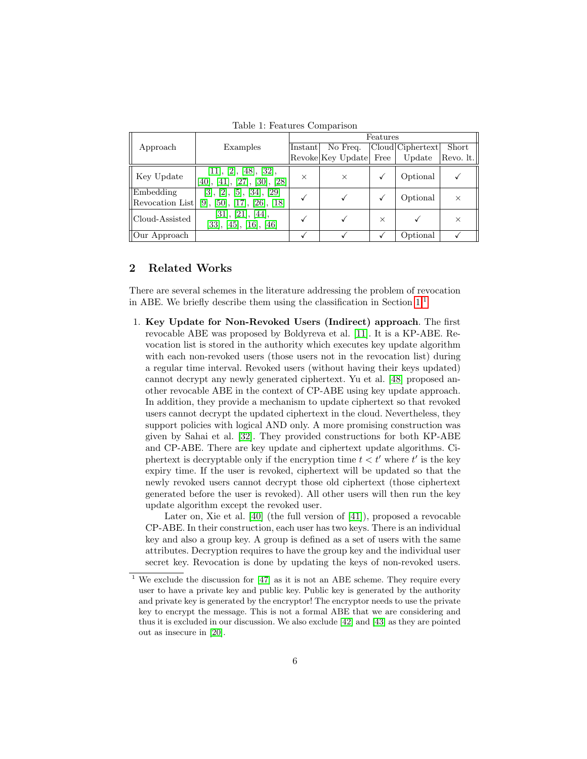<span id="page-5-1"></span>

|                              | Examples                                                 | Features |                        |          |                  |           |  |
|------------------------------|----------------------------------------------------------|----------|------------------------|----------|------------------|-----------|--|
| Approach                     |                                                          | Instant  | No Freq.               |          | Cloud Ciphertext | Short     |  |
|                              |                                                          |          | Revoke Key Update Free |          | Update           | Revo. lt. |  |
| Key Update                   | [11], [2], [48], [32],<br>[40], [41], [27], [30], [28]   | $\times$ | $\times$               | √        | Optional         |           |  |
| Embedding<br>Revocation List | [3], [2], [5], [34], [29]<br>[9], [50], [17], [26], [18] |          |                        |          | Optional         | $\times$  |  |
| Cloud-Assisted               | [31], [21], [44],<br>[33], [45], [16], [46]              |          |                        | $\times$ |                  | $\times$  |  |
| Our Approach                 |                                                          |          |                        |          | Optional         |           |  |

Table 1: Features Comparison

# <span id="page-5-0"></span>2 Related Works

There are several schemes in the literature addressing the problem of revocation in ABE. We briefly describe them using the classification in Section  $1<sup>1</sup>$  $1<sup>1</sup>$ 

1. Key Update for Non-Revoked Users (Indirect) approach. The first revocable ABE was proposed by Boldyreva et al. [\[11\]](#page-15-7). It is a KP-ABE. Revocation list is stored in the authority which executes key update algorithm with each non-revoked users (those users not in the revocation list) during a regular time interval. Revoked users (without having their keys updated) cannot decrypt any newly generated ciphertext. Yu et al. [\[48\]](#page-17-5) proposed another revocable ABE in the context of CP-ABE using key update approach. In addition, they provide a mechanism to update ciphertext so that revoked users cannot decrypt the updated ciphertext in the cloud. Nevertheless, they support policies with logical AND only. A more promising construction was given by Sahai et al. [\[32\]](#page-16-5). They provided constructions for both KP-ABE and CP-ABE. There are key update and ciphertext update algorithms. Ciphertext is decryptable only if the encryption time  $t < t'$  where t' is the key expiry time. If the user is revoked, ciphertext will be updated so that the newly revoked users cannot decrypt those old ciphertext (those ciphertext generated before the user is revoked). All other users will then run the key update algorithm except the revoked user.

Later on, Xie et al. [\[40\]](#page-17-6) (the full version of [\[41\]](#page-17-7)), proposed a revocable CP-ABE. In their construction, each user has two keys. There is an individual key and also a group key. A group is defined as a set of users with the same attributes. Decryption requires to have the group key and the individual user secret key. Revocation is done by updating the keys of non-revoked users.

<span id="page-5-2"></span><sup>&</sup>lt;sup>1</sup> We exclude the discussion for  $[47]$  as it is not an ABE scheme. They require every user to have a private key and public key. Public key is generated by the authority and private key is generated by the encryptor! The encryptor needs to use the private key to encrypt the message. This is not a formal ABE that we are considering and thus it is excluded in our discussion. We also exclude [\[42\]](#page-17-13) and [\[43\]](#page-17-14) as they are pointed out as insecure in [\[20\]](#page-16-15).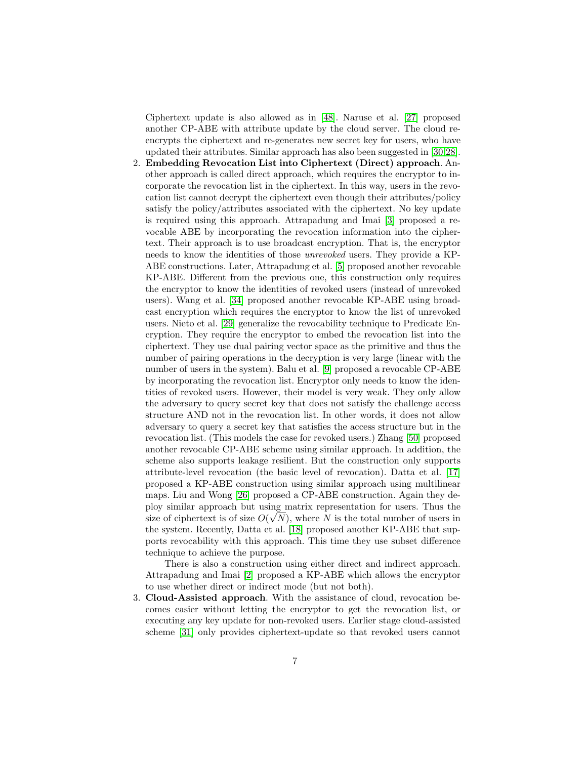Ciphertext update is also allowed as in [\[48\]](#page-17-5). Naruse et al. [\[27\]](#page-16-6) proposed another CP-ABE with attribute update by the cloud server. The cloud reencrypts the ciphertext and re-generates new secret key for users, who have updated their attributes. Similar approach has also been suggested in [\[30,](#page-16-7)[28\]](#page-16-8).

2. Embedding Revocation List into Ciphertext (Direct) approach. Another approach is called direct approach, which requires the encryptor to incorporate the revocation list in the ciphertext. In this way, users in the revocation list cannot decrypt the ciphertext even though their attributes/policy satisfy the policy/attributes associated with the ciphertext. No key update is required using this approach. Attrapadung and Imai [\[3\]](#page-15-9) proposed a revocable ABE by incorporating the revocation information into the ciphertext. Their approach is to use broadcast encryption. That is, the encryptor needs to know the identities of those unrevoked users. They provide a KP-ABE constructions. Later, Attrapadung et al. [\[5\]](#page-15-10) proposed another revocable KP-ABE. Different from the previous one, this construction only requires the encryptor to know the identities of revoked users (instead of unrevoked users). Wang et al. [\[34\]](#page-16-9) proposed another revocable KP-ABE using broadcast encryption which requires the encryptor to know the list of unrevoked users. Nieto et al. [\[29\]](#page-16-10) generalize the revocability technique to Predicate Encryption. They require the encryptor to embed the revocation list into the ciphertext. They use dual pairing vector space as the primitive and thus the number of pairing operations in the decryption is very large (linear with the number of users in the system). Balu et al. [\[9\]](#page-15-11) proposed a revocable CP-ABE by incorporating the revocation list. Encryptor only needs to know the identities of revoked users. However, their model is very weak. They only allow the adversary to query secret key that does not satisfy the challenge access structure AND not in the revocation list. In other words, it does not allow adversary to query a secret key that satisfies the access structure but in the revocation list. (This models the case for revoked users.) Zhang [\[50\]](#page-17-8) proposed another revocable CP-ABE scheme using similar approach. In addition, the scheme also supports leakage resilient. But the construction only supports attribute-level revocation (the basic level of revocation). Datta et al. [\[17\]](#page-15-12) proposed a KP-ABE construction using similar approach using multilinear maps. Liu and Wong [\[26\]](#page-16-11) proposed a CP-ABE construction. Again they deploy similar approach but using matrix representation for users. Thus the size of ciphertext is of size  $O(\sqrt{N})$ , where N is the total number of users in the system. Recently, Datta et al. [\[18\]](#page-15-13) proposed another KP-ABE that supports revocability with this approach. This time they use subset difference technique to achieve the purpose.

There is also a construction using either direct and indirect approach. Attrapadung and Imai [\[2\]](#page-15-8) proposed a KP-ABE which allows the encryptor to use whether direct or indirect mode (but not both).

3. Cloud-Assisted approach. With the assistance of cloud, revocation becomes easier without letting the encryptor to get the revocation list, or executing any key update for non-revoked users. Earlier stage cloud-assisted scheme [\[31\]](#page-16-12) only provides ciphertext-update so that revoked users cannot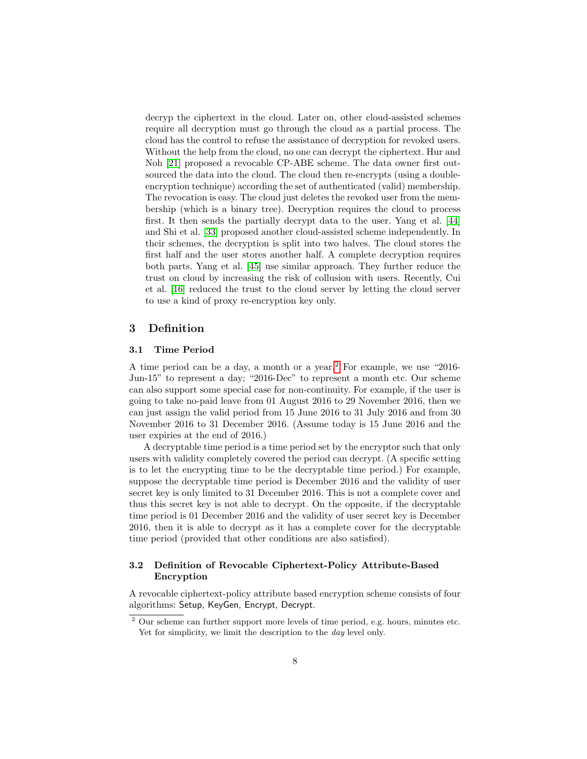decryp the ciphertext in the cloud. Later on, other cloud-assisted schemes require all decryption must go through the cloud as a partial process. The cloud has the control to refuse the assistance of decryption for revoked users. Without the help from the cloud, no one can decrypt the ciphertext. Hur and Noh [\[21\]](#page-16-13) proposed a revocable CP-ABE scheme. The data owner first outsourced the data into the cloud. The cloud then re-encrypts (using a doubleencryption technique) according the set of authenticated (valid) membership. The revocation is easy. The cloud just deletes the revoked user from the membership (which is a binary tree). Decryption requires the cloud to process first. It then sends the partially decrypt data to the user. Yang et al. [\[44\]](#page-17-9) and Shi et al. [\[33\]](#page-16-14) proposed another cloud-assisted scheme independently. In their schemes, the decryption is split into two halves. The cloud stores the first half and the user stores another half. A complete decryption requires both parts. Yang et al. [\[45\]](#page-17-10) use similar approach. They further reduce the trust on cloud by increasing the risk of collusion with users. Recently, Cui et al. [\[16\]](#page-15-14) reduced the trust to the cloud server by letting the cloud server to use a kind of proxy re-encryption key only.

### 3 Definition

#### <span id="page-7-1"></span>3.1 Time Period

A time period can be a day, a month or a year.[2](#page-7-0) For example, we use "2016- Jun-15" to represent a day; "2016-Dec" to represent a month etc. Our scheme can also support some special case for non-continuity. For example, if the user is going to take no-paid leave from 01 August 2016 to 29 November 2016, then we can just assign the valid period from 15 June 2016 to 31 July 2016 and from 30 November 2016 to 31 December 2016. (Assume today is 15 June 2016 and the user expiries at the end of 2016.)

A decryptable time period is a time period set by the encryptor such that only users with validity completely covered the period can decrypt. (A specific setting is to let the encrypting time to be the decryptable time period.) For example, suppose the decryptable time period is December 2016 and the validity of user secret key is only limited to 31 December 2016. This is not a complete cover and thus this secret key is not able to decrypt. On the opposite, if the decryptable time period is 01 December 2016 and the validity of user secret key is December 2016, then it is able to decrypt as it has a complete cover for the decryptable time period (provided that other conditions are also satisfied).

# 3.2 Definition of Revocable Ciphertext-Policy Attribute-Based Encryption

A revocable ciphertext-policy attribute based encryption scheme consists of four algorithms: Setup, KeyGen, Encrypt, Decrypt.

<span id="page-7-0"></span><sup>2</sup> Our scheme can further support more levels of time period, e.g. hours, minutes etc. Yet for simplicity, we limit the description to the *day* level only.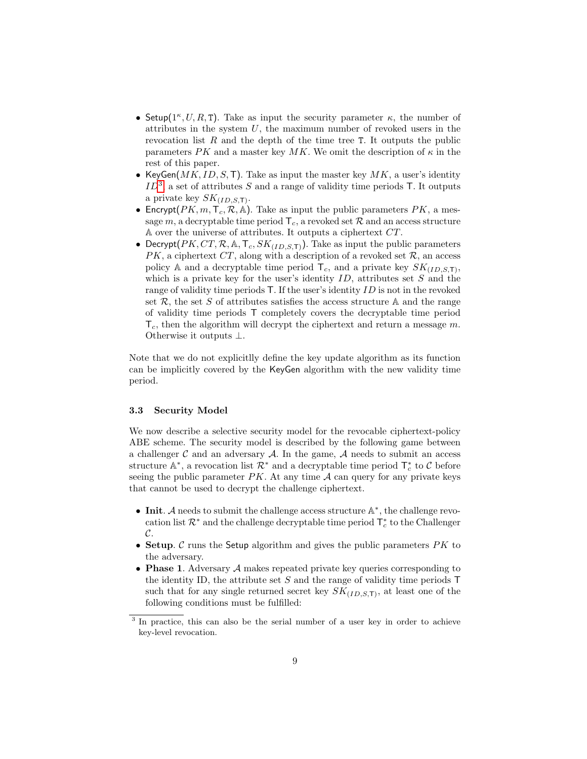- Setup( $1^{\kappa}$ , U, R, T). Take as input the security parameter  $\kappa$ , the number of attributes in the system  $U$ , the maximum number of revoked users in the revocation list  $R$  and the depth of the time tree  $T$ . It outputs the public parameters PK and a master key MK. We omit the description of  $\kappa$  in the rest of this paper.
- KeyGen( $MK, ID, S, T$ ). Take as input the master key  $MK$ , a user's identity  $ID<sup>3</sup>$  $ID<sup>3</sup>$  $ID<sup>3</sup>$ , a set of attributes S and a range of validity time periods T. It outputs a private key  $SK_{(ID,S,T)}$ .
- Encrypt( $PK, m, T_c, R, A$ ). Take as input the public parameters  $PK$ , a message m, a decryptable time period  $T_c$ , a revoked set  $R$  and an access structure A over the universe of attributes. It outputs a ciphertext CT.
- Decrypt( $PK, CT, \mathcal{R}, \mathbb{A}, \mathsf{T}_c, SK_{(ID,S,T)}$ ). Take as input the public parameters  $PK$ , a ciphertext  $CT$ , along with a description of a revoked set  $\mathcal{R}$ , an access policy A and a decryptable time period  $T_c$ , and a private key  $SK_{(ID,S,T)}$ , which is a private key for the user's identity  $ID$ , attributes set  $S$  and the range of validity time periods  $\mathsf{T}$ . If the user's identity  $ID$  is not in the revoked set  $\mathcal{R}$ , the set S of attributes satisfies the access structure A and the range of validity time periods T completely covers the decryptable time period  $T_c$ , then the algorithm will decrypt the ciphertext and return a message m. Otherwise it outputs ⊥.

Note that we do not explicitlly define the key update algorithm as its function can be implicitly covered by the KeyGen algorithm with the new validity time period.

#### 3.3 Security Model

We now describe a selective security model for the revocable ciphertext-policy ABE scheme. The security model is described by the following game between a challenger  $\mathcal C$  and an adversary  $\mathcal A$ . In the game,  $\mathcal A$  needs to submit an access structure  $\mathbb{A}^*$ , a revocation list  $\mathcal{R}^*$  and a decryptable time period  $\mathsf{T}_c^*$  to  $\mathcal C$  before seeing the public parameter  $PK$ . At any time  $A$  can query for any private keys that cannot be used to decrypt the challenge ciphertext.

- Init. A needs to submit the challenge access structure A ∗ , the challenge revocation list  $\mathcal{R}^*$  and the challenge decryptable time period  $\mathsf{T}^*_c$  to the Challenger  $\mathcal{C}.$
- Setup.  $\mathcal C$  runs the Setup algorithm and gives the public parameters  $PK$  to the adversary.
- Phase 1. Adversary A makes repeated private key queries corresponding to the identity ID, the attribute set  $S$  and the range of validity time periods  $T$ such that for any single returned secret key  $SK_{(ID, S, T)}$ , at least one of the following conditions must be fulfilled:

<span id="page-8-0"></span><sup>&</sup>lt;sup>3</sup> In practice, this can also be the serial number of a user key in order to achieve key-level revocation.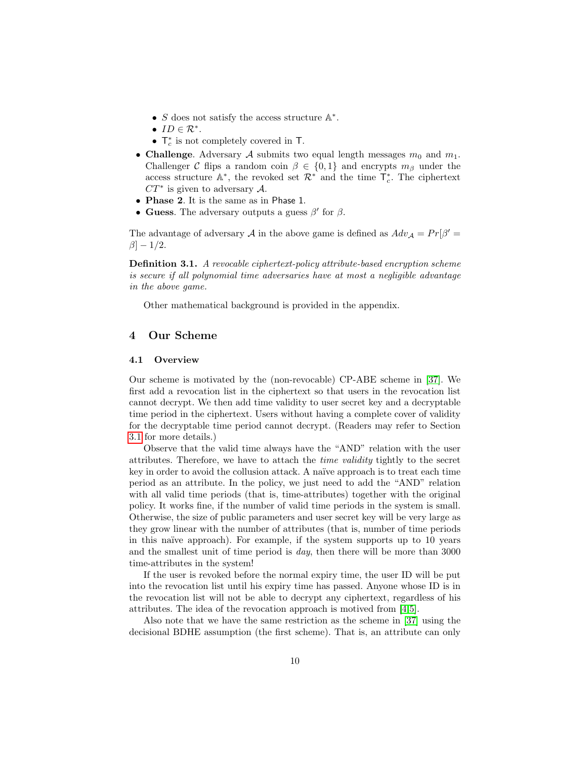- S does not satisfy the access structure  $\mathbb{A}^*$ .
- $ID \in \mathcal{R}^*$ .
- $\mathsf{T}^*_c$  is not completely covered in T.
- Challenge. Adversary A submits two equal length messages  $m_0$  and  $m_1$ . Challenger C flips a random coin  $\beta \in \{0,1\}$  and encrypts  $m_{\beta}$  under the access structure  $\mathbb{A}^*$ , the revoked set  $\mathcal{R}^*$  and the time  $\mathsf{T}_c^*$ . The ciphertext  $CT^*$  is given to adversary A.
- Phase 2. It is the same as in Phase 1.
- Guess. The adversary outputs a guess  $\beta'$  for  $\beta$ .

The advantage of adversary A in the above game is defined as  $Adv_{\mathcal{A}} = Pr[\beta' =$  $\beta$ ] – 1/2.

Definition 3.1. A revocable ciphertext-policy attribute-based encryption scheme is secure if all polynomial time adversaries have at most a negligible advantage in the above game.

Other mathematical background is provided in the appendix.

# 4 Our Scheme

#### 4.1 Overview

Our scheme is motivated by the (non-revocable) CP-ABE scheme in [\[37\]](#page-17-4). We first add a revocation list in the ciphertext so that users in the revocation list cannot decrypt. We then add time validity to user secret key and a decryptable time period in the ciphertext. Users without having a complete cover of validity for the decryptable time period cannot decrypt. (Readers may refer to Section [3.1](#page-7-1) for more details.)

Observe that the valid time always have the "AND" relation with the user attributes. Therefore, we have to attach the time validity tightly to the secret key in order to avoid the collusion attack. A naïve approach is to treat each time period as an attribute. In the policy, we just need to add the "AND" relation with all valid time periods (that is, time-attributes) together with the original policy. It works fine, if the number of valid time periods in the system is small. Otherwise, the size of public parameters and user secret key will be very large as they grow linear with the number of attributes (that is, number of time periods in this naïve approach). For example, if the system supports up to  $10$  years and the smallest unit of time period is day, then there will be more than 3000 time-attributes in the system!

If the user is revoked before the normal expiry time, the user ID will be put into the revocation list until his expiry time has passed. Anyone whose ID is in the revocation list will not be able to decrypt any ciphertext, regardless of his attributes. The idea of the revocation approach is motived from [\[4](#page-15-15)[,5\]](#page-15-10).

Also note that we have the same restriction as the scheme in [\[37\]](#page-17-4) using the decisional BDHE assumption (the first scheme). That is, an attribute can only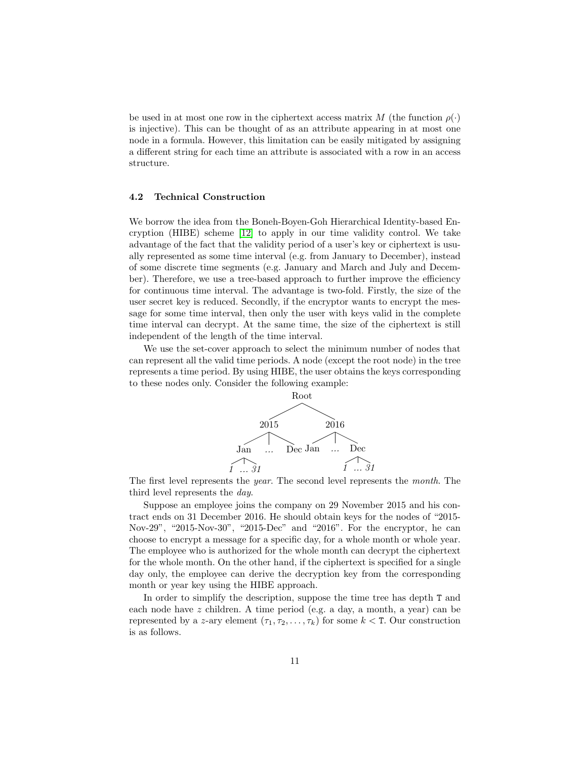be used in at most one row in the ciphertext access matrix M (the function  $\rho(\cdot)$ ) is injective). This can be thought of as an attribute appearing in at most one node in a formula. However, this limitation can be easily mitigated by assigning a different string for each time an attribute is associated with a row in an access structure.

#### <span id="page-10-0"></span>4.2 Technical Construction

We borrow the idea from the Boneh-Boyen-Goh Hierarchical Identity-based Encryption (HIBE) scheme [\[12\]](#page-15-16) to apply in our time validity control. We take advantage of the fact that the validity period of a user's key or ciphertext is usually represented as some time interval (e.g. from January to December), instead of some discrete time segments (e.g. January and March and July and December). Therefore, we use a tree-based approach to further improve the efficiency for continuous time interval. The advantage is two-fold. Firstly, the size of the user secret key is reduced. Secondly, if the encryptor wants to encrypt the message for some time interval, then only the user with keys valid in the complete time interval can decrypt. At the same time, the size of the ciphertext is still independent of the length of the time interval.

We use the set-cover approach to select the minimum number of nodes that can represent all the valid time periods. A node (except the root node) in the tree represents a time period. By using HIBE, the user obtains the keys corresponding to these nodes only. Consider the following example:



The first level represents the year. The second level represents the month. The third level represents the day.

Suppose an employee joins the company on 29 November 2015 and his contract ends on 31 December 2016. He should obtain keys for the nodes of "2015- Nov-29", "2015-Nov-30", "2015-Dec" and "2016". For the encryptor, he can choose to encrypt a message for a specific day, for a whole month or whole year. The employee who is authorized for the whole month can decrypt the ciphertext for the whole month. On the other hand, if the ciphertext is specified for a single day only, the employee can derive the decryption key from the corresponding month or year key using the HIBE approach.

In order to simplify the description, suppose the time tree has depth T and each node have z children. A time period (e.g. a day, a month, a year) can be represented by a z-ary element  $(\tau_1, \tau_2, \ldots, \tau_k)$  for some  $k < T$ . Our construction is as follows.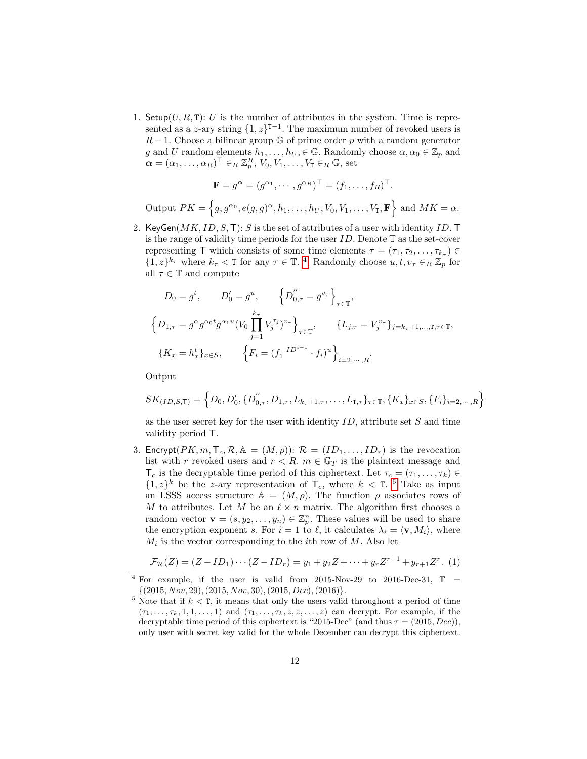1. Setup $(U, R, T)$ : U is the number of attributes in the system. Time is represented as a z-ary string  $\{1, z\}^{T-1}$ . The maximum number of revoked users is  $R-1$ . Choose a bilinear group G of prime order p with a random generator g and U random elements  $h_1, \ldots, h_U, \in \mathbb{G}$ . Randomly choose  $\alpha, \alpha_0 \in \mathbb{Z}_p$  and  $\boldsymbol{\alpha} = (\alpha_1, \ldots, \alpha_R)^\top \in_R \mathbb{Z}_p^R$ ,  $V_0, V_1, \ldots, V_T \in_R \mathbb{G}$ , set

$$
\mathbf{F} = g^{\alpha} = (g^{\alpha_1}, \dots, g^{\alpha_R})^{\top} = (f_1, \dots, f_R)^{\top}.
$$
  
Output 
$$
PK = \left\{ g, g^{\alpha_0}, e(g, g)^{\alpha}, h_1, \dots, h_U, V_0, V_1, \dots, V_T, \mathbf{F} \right\} \text{ and } MK = \alpha.
$$

2. KeyGen( $MK, ID, S, T$ ): S is the set of attributes of a user with identity ID. T is the range of validity time periods for the user  $ID$ . Denote  $\mathbb T$  as the set-cover representing T which consists of some time elements  $\tau = (\tau_1, \tau_2, \dots, \tau_{k_{\tau}}) \in$  $\{1, z\}^{k_{\tau}}$  where  $k_{\tau} < \tau$  for any  $\tau \in \mathbb{T}$ . <sup>[4](#page-11-0)</sup>. Randomly choose  $u, t, v_{\tau} \in R$   $\mathbb{Z}_p$  for all  $\tau \in \mathbb{T}$  and compute

$$
D_0 = g^t, \qquad D'_0 = g^u, \qquad \left\{ D'_{0,\tau} = g^{v_\tau} \right\}_{\tau \in \mathbb{T}},
$$
  

$$
\left\{ D_{1,\tau} = g^\alpha g^{\alpha_0 t} g^{\alpha_1 u} (V_0 \prod_{j=1}^{k_\tau} V_j^{\tau_j})^{v_\tau} \right\}_{\tau \in \mathbb{T}}, \qquad \left\{ L_{j,\tau} = V_j^{v_\tau} \right\}_{j=k_\tau+1,\dots,T,\tau \in \mathbb{T}},
$$
  

$$
\left\{ K_x = h^t_x \right\}_{x \in S}, \qquad \left\{ F_i = (f_1^{-ID^{i-1}} \cdot f_i)^u \right\}_{i=2,\cdots,R}.
$$

Output

$$
SK_{(ID,S,T)} = \left\{ D_0, D'_0, \{D''_{0,\tau}, D_{1,\tau}, L_{k_{\tau}+1,\tau}, \ldots, L_{T,\tau} \}_{\tau \in \mathbb{T}}, \{K_x\}_{x \in S}, \{F_i\}_{i=2,\cdots,R} \right\}
$$

as the user secret key for the user with identity  $ID$ , attribute set  $S$  and time validity period T.

3. Encrypt( $PK, m, T_c, R, A = (M, \rho)$ ):  $\mathcal{R} = (ID_1, \ldots, ID_r)$  is the revocation list with r revoked users and  $r < R$ .  $m \in \mathbb{G}_T$  is the plaintext message and  $T_c$  is the decryptable time period of this ciphertext. Let  $\tau_c = (\tau_1, \ldots, \tau_k) \in$  $\{1, z\}^k$  be the z-ary representation of  $\mathsf{T}_c$ , where  $k < \mathsf{T}$ . <sup>[5](#page-11-1)</sup> Take as input an LSSS access structure  $A = (M, \rho)$ . The function  $\rho$  associates rows of M to attributes. Let M be an  $\ell \times n$  matrix. The algorithm first chooses a random vector  $\mathbf{v} = (s, y_2, \dots, y_n) \in \mathbb{Z}_p^n$ . These values will be used to share the encryption exponent s. For  $i = 1$  to  $\ell$ , it calculates  $\lambda_i = \langle \mathbf{v}, M_i \rangle$ , where  $M_i$  is the vector corresponding to the *i*th row of  $M$ . Also let

<span id="page-11-2"></span>
$$
\mathcal{F}_{\mathcal{R}}(Z) = (Z - ID_1) \cdots (Z - ID_r) = y_1 + y_2 Z + \cdots + y_r Z^{r-1} + y_{r+1} Z^r. (1)
$$

<span id="page-11-0"></span><sup>&</sup>lt;sup>4</sup> For example, if the user is valid from 2015-Nov-29 to 2016-Dec-31,  $\mathbb{T}$  =  $\{(2015, Nov, 29), (2015, Nov, 30), (2015, Dec), (2016)\}.$ 

<span id="page-11-1"></span> $5$  Note that if  $k < T$ , it means that only the users valid throughout a period of time  $(\tau_1, \ldots, \tau_k, 1, 1, \ldots, 1)$  and  $(\tau_1, \ldots, \tau_k, z, z, \ldots, z)$  can decrypt. For example, if the decryptable time period of this ciphertext is "2015-Dec" (and thus  $\tau = (2015, Dec)$ ), only user with secret key valid for the whole December can decrypt this ciphertext.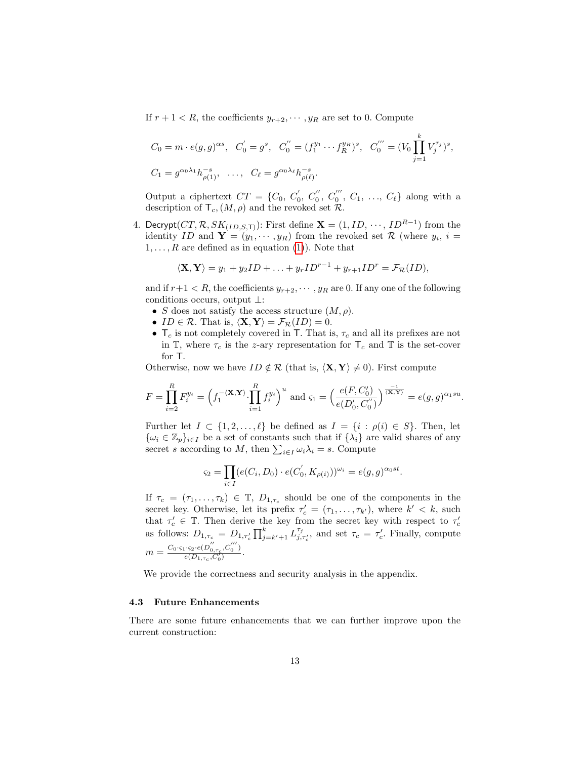If  $r + 1 < R$ , the coefficients  $y_{r+2}, \dots, y_R$  are set to 0. Compute

$$
C_0 = m \cdot e(g, g)^{\alpha s}, \quad C'_0 = g^s, \quad C''_0 = (f_1^{y_1} \cdots f_R^{y_R})^s, \quad C'''_0 = (V_0 \prod_{j=1}^k V_j^{\tau_j})^s,
$$
  

$$
C_1 = g^{\alpha_0 \lambda_1} h_{\rho(1)}^{-s}, \quad \dots, \quad C_\ell = g^{\alpha_0 \lambda_\ell} h_{\rho(\ell)}^{-s}.
$$

Output a ciphertext  $CT = \{C_0, C'_0, C''_0, C''_0, C_1, ..., C_\ell\}$  along with a description of  $\mathsf{T}_c$ ,  $(M, \rho)$  and the revoked set  $\mathcal{R}$ .

4. Decrypt $(CT,\mathcal{R},SK_{(ID,S,T)})$ : First define  $\mathbf{X}=(1,ID,\cdots,ID^{R-1})$  from the identity ID and  $\mathbf{Y} = (y_1, \dots, y_R)$  from the revoked set  $\mathcal{R}$  (where  $y_i$ ,  $i =$  $1, \ldots, R$  are defined as in equation [\(1\)](#page-11-2)). Note that

$$
\langle \mathbf{X}, \mathbf{Y} \rangle = y_1 + y_2 ID + \ldots + y_r ID^{r-1} + y_{r+1} ID^r = \mathcal{F}_{\mathcal{R}}(ID),
$$

and if  $r+1 < R$ , the coefficients  $y_{r+2}, \dots, y_R$  are 0. If any one of the following conditions occurs, output ⊥:

- S does not satisfy the access structure  $(M, \rho)$ .
- ID  $\in \mathcal{R}$ . That is,  $\langle \mathbf{X}, \mathbf{Y} \rangle = \mathcal{F}_{\mathcal{R}}(ID) = 0$ .
- $\mathsf{T}_c$  is not completely covered in  $\mathsf{T}$ . That is,  $\tau_c$  and all its prefixes are not in  $\mathbb{T}$ , where  $\tau_c$  is the z-ary representation for  $\mathsf{T}_c$  and  $\mathbb{T}$  is the set-cover for T.

Otherwise, now we have  $ID \notin \mathcal{R}$  (that is,  $\langle \mathbf{X}, \mathbf{Y} \rangle \neq 0$ ). First compute

$$
F = \prod_{i=2}^{R} F_i^{y_i} = \left(f_1^{-\langle \mathbf{X}, \mathbf{Y} \rangle} \cdot \prod_{i=1}^{R} f_i^{y_i}\right)^u \text{ and } \varsigma_1 = \left(\frac{e(F, C'_0)}{e(D'_0, C'_0)}\right)^{\frac{-1}{\langle \mathbf{X}, \mathbf{Y} \rangle}} = e(g, g)^{\alpha_1 su}.
$$

Further let  $I \subset \{1, 2, ..., \ell\}$  be defined as  $I = \{i : \rho(i) \in S\}$ . Then, let  $\{\omega_i \in \mathbb{Z}_p\}_{i\in I}$  be a set of constants such that if  $\{\lambda_i\}$  are valid shares of any secret s according to M, then  $\sum_{i\in I} \omega_i \lambda_i = s$ . Compute

$$
\varsigma_2 = \prod_{i \in I} (e(C_i, D_0) \cdot e(C'_0, K_{\rho(i)}))^{\omega_i} = e(g, g)^{\alpha_0 st}.
$$

If  $\tau_c = (\tau_1, \ldots, \tau_k) \in \mathbb{T}$ ,  $D_{1,\tau_c}$  should be one of the components in the secret key. Otherwise, let its prefix  $\tau'_{c} = (\tau_1, \ldots, \tau_{k'})$ , where  $k' < k$ , such that  $\tau_c' \in \mathbb{T}$ . Then derive the key from the secret key with respect to  $\tau_c'$ as follows:  $D_{1,\tau_c} = D_{1,\tau_c'} \prod_{j=k'+1}^k L_{j,\tau_c'}^{\tau_j}$ , and set  $\tau_c = \tau_c'$ . Finally, compute  $m = \frac{C_0 \cdot s_1 \cdot s_2 \cdot e(D''_{0, \tau_c}, C''_{0})}{e(D_c - C')}$  $\frac{e(D_{0, \tau_c}, C_0)}{e(D_{1, \tau_c}, C'_0)}$ .

We provide the correctness and security analysis in the appendix.

#### 4.3 Future Enhancements

There are some future enhancements that we can further improve upon the current construction: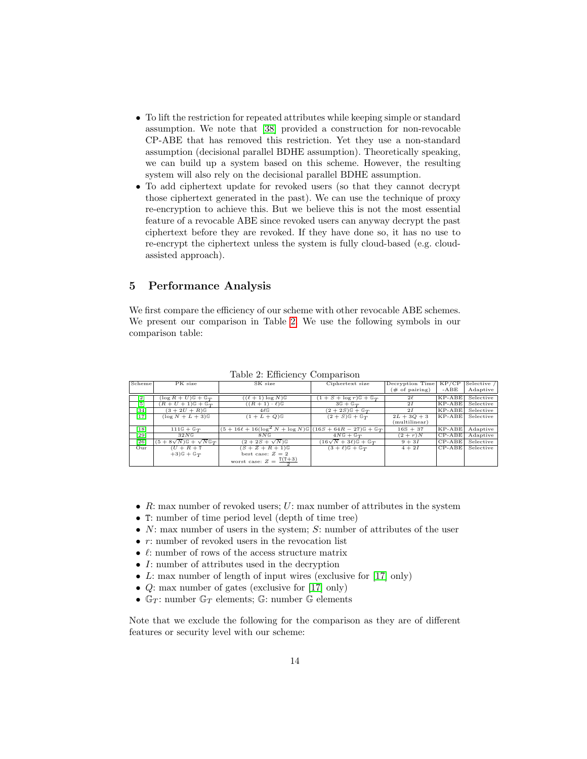- To lift the restriction for repeated attributes while keeping simple or standard assumption. We note that [\[38\]](#page-17-15) provided a construction for non-revocable CP-ABE that has removed this restriction. Yet they use a non-standard assumption (decisional parallel BDHE assumption). Theoretically speaking, we can build up a system based on this scheme. However, the resulting system will also rely on the decisional parallel BDHE assumption.
- To add ciphertext update for revoked users (so that they cannot decrypt those ciphertext generated in the past). We can use the technique of proxy re-encryption to achieve this. But we believe this is not the most essential feature of a revocable ABE since revoked users can anyway decrypt the past ciphertext before they are revoked. If they have done so, it has no use to re-encrypt the ciphertext unless the system is fully cloud-based (e.g. cloudassisted approach).

## 5 Performance Analysis

We first compare the efficiency of our scheme with other revocable ABE schemes. We present our comparison in Table [2.](#page-13-0) We use the following symbols in our comparison table:

<span id="page-13-0"></span>

| Scheme            | PK size                                        | SK size                                                                                    | Ciphertext size                             | Decryption Time           | KP/CP    | Selective / |
|-------------------|------------------------------------------------|--------------------------------------------------------------------------------------------|---------------------------------------------|---------------------------|----------|-------------|
|                   |                                                |                                                                                            |                                             | $(\# \text{ of pairing})$ | $-ABE$   | Adaptive    |
| $[2]$             | $(\log R + U)\mathbb{G} + \mathbb{G}_T$        | $((\ell + 1) \log N)$ <sup>G</sup>                                                         | $(1 + S + \log r)\mathbb{G} + \mathbb{G}_T$ | $2\ell$                   | KP-ABE   | Selective   |
| $\lceil 5 \rceil$ | $(R+U+1)\mathbb{G} + \mathbb{G}_T$             | $((R+1)\cdot\ell)\mathbb{G}$                                                               | $3G + G_T$                                  | 2I                        | $KP-ABE$ | Selective   |
| [34]              | $(3 + 2U + R)$ G                               | $4\ell \mathbb{G}$                                                                         | $(2+2S)\mathbb{G} + \mathbb{G}_T$           | 2I                        | KP-ABE   | Selective   |
| $[17]$            | $(\log N + L + 3)$                             | $(1 + L + Q)$ G                                                                            | $(2+S)\mathbb{G} + \mathbb{G}_T$            | $2L + 3Q + 3$             | KP-ABE   | Selective   |
|                   |                                                |                                                                                            |                                             | (multilinear)             |          |             |
| [18]              | $111G + G_T$                                   | $(5 + 16\ell + 16(\log^2 N + \log N)\mathbb{G}[(16S + 64R - 27)\mathbb{G} + \mathbb{G}_T]$ |                                             | $16S + 37$                | KP-ABE   | Adaptive    |
| [29]              | $32N$ G                                        | 8NG                                                                                        | $4N\mathbb{G} + \mathbb{G}_T$               | $(2 + r)N$                | $CP-ABE$ | Adaptive    |
| $[26]$            | $(5+8\sqrt{N})\mathbb{G}+\sqrt{N}\mathbb{G}_T$ | $(2+2S+\sqrt{N})\mathbb{G}$                                                                | $(16\sqrt{N}+3\ell)\mathbb{G}+\mathbb{G}_T$ | $9+3I$                    | $CP-ABE$ | Selective   |
| Our               | $(U + R + T)$                                  | $(S + Z + R + 1)$ G                                                                        | $(3 + \ell)\mathbb{G} + \mathbb{G}_T$       | $4 + 2I$                  | $CP-ABE$ | Selective   |
|                   | $+3)G + G_T$                                   | best case: $Z = 2$                                                                         |                                             |                           |          |             |
|                   |                                                | worst case: $Z = \frac{T(T+3)}{T}$                                                         |                                             |                           |          |             |

Table 2: Efficiency Comparison

- R: max number of revoked users;  $U:$  max number of attributes in the system
- T: number of time period level (depth of time tree)
- $N:$  max number of users in the system; S: number of attributes of the user
- $\bullet$  r: number of revoked users in the revocation list
- $\ell$ : number of rows of the access structure matrix
- I: number of attributes used in the decryption
- $L:$  max number of length of input wires (exclusive for [\[17\]](#page-15-12) only)
- *Q*: max number of gates (exclusive for [\[17\]](#page-15-12) only)
- $\mathbb{G}_T$ : number  $\mathbb{G}_T$  elements;  $\mathbb{G}$ : number  $\mathbb{G}$  elements

Note that we exclude the following for the comparison as they are of different features or security level with our scheme: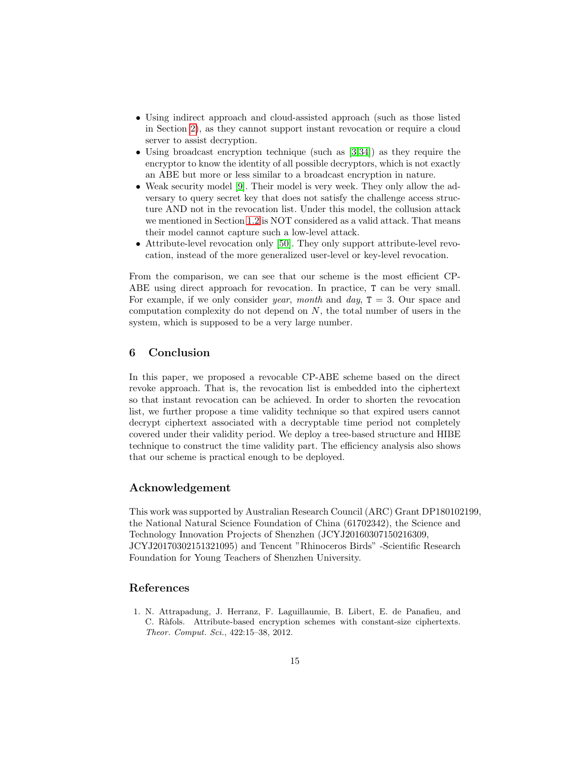- Using indirect approach and cloud-assisted approach (such as those listed in Section [2\)](#page-5-0), as they cannot support instant revocation or require a cloud server to assist decryption.
- Using broadcast encryption technique (such as [\[3,](#page-15-9)[34\]](#page-16-9)) as they require the encryptor to know the identity of all possible decryptors, which is not exactly an ABE but more or less similar to a broadcast encryption in nature.
- Weak security model [\[9\]](#page-15-11). Their model is very week. They only allow the adversary to query secret key that does not satisfy the challenge access structure AND not in the revocation list. Under this model, the collusion attack we mentioned in Section [1.2](#page-3-0) is NOT considered as a valid attack. That means their model cannot capture such a low-level attack.
- Attribute-level revocation only [\[50\]](#page-17-8). They only support attribute-level revocation, instead of the more generalized user-level or key-level revocation.

From the comparison, we can see that our scheme is the most efficient CP-ABE using direct approach for revocation. In practice, T can be very small. For example, if we only consider *year*, month and day,  $T = 3$ . Our space and computation complexity do not depend on  $N$ , the total number of users in the system, which is supposed to be a very large number.

# 6 Conclusion

In this paper, we proposed a revocable CP-ABE scheme based on the direct revoke approach. That is, the revocation list is embedded into the ciphertext so that instant revocation can be achieved. In order to shorten the revocation list, we further propose a time validity technique so that expired users cannot decrypt ciphertext associated with a decryptable time period not completely covered under their validity period. We deploy a tree-based structure and HIBE technique to construct the time validity part. The efficiency analysis also shows that our scheme is practical enough to be deployed.

### Acknowledgement

This work was supported by Australian Research Council (ARC) Grant DP180102199, the National Natural Science Foundation of China (61702342), the Science and Technology Innovation Projects of Shenzhen (JCYJ20160307150216309, JCYJ20170302151321095) and Tencent "Rhinoceros Birds" -Scientific Research Foundation for Young Teachers of Shenzhen University.

# References

<span id="page-14-0"></span>1. N. Attrapadung, J. Herranz, F. Laguillaumie, B. Libert, E. de Panafieu, and C. Ràfols. Attribute-based encryption schemes with constant-size ciphertexts. Theor. Comput. Sci., 422:15–38, 2012.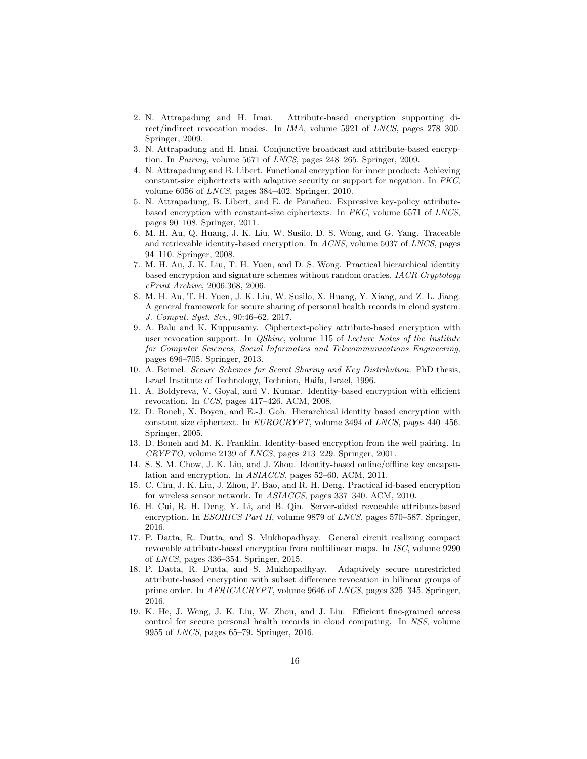- <span id="page-15-8"></span>2. N. Attrapadung and H. Imai. Attribute-based encryption supporting direct/indirect revocation modes. In IMA, volume 5921 of LNCS, pages 278–300. Springer, 2009.
- <span id="page-15-9"></span>3. N. Attrapadung and H. Imai. Conjunctive broadcast and attribute-based encryption. In Pairing, volume 5671 of LNCS, pages 248–265. Springer, 2009.
- <span id="page-15-15"></span>4. N. Attrapadung and B. Libert. Functional encryption for inner product: Achieving constant-size ciphertexts with adaptive security or support for negation. In PKC, volume 6056 of LNCS, pages 384–402. Springer, 2010.
- <span id="page-15-10"></span>5. N. Attrapadung, B. Libert, and E. de Panafieu. Expressive key-policy attributebased encryption with constant-size ciphertexts. In PKC, volume 6571 of LNCS, pages 90–108. Springer, 2011.
- <span id="page-15-2"></span>6. M. H. Au, Q. Huang, J. K. Liu, W. Susilo, D. S. Wong, and G. Yang. Traceable and retrievable identity-based encryption. In ACNS, volume 5037 of LNCS, pages 94–110. Springer, 2008.
- <span id="page-15-1"></span>7. M. H. Au, J. K. Liu, T. H. Yuen, and D. S. Wong. Practical hierarchical identity based encryption and signature schemes without random oracles. IACR Cryptology ePrint Archive, 2006:368, 2006.
- <span id="page-15-6"></span>8. M. H. Au, T. H. Yuen, J. K. Liu, W. Susilo, X. Huang, Y. Xiang, and Z. L. Jiang. A general framework for secure sharing of personal health records in cloud system. J. Comput. Syst. Sci., 90:46–62, 2017.
- <span id="page-15-11"></span>9. A. Balu and K. Kuppusamy. Ciphertext-policy attribute-based encryption with user revocation support. In QShine, volume 115 of Lecture Notes of the Institute for Computer Sciences, Social Informatics and Telecommunications Engineering, pages 696–705. Springer, 2013.
- <span id="page-15-17"></span>10. A. Beimel. Secure Schemes for Secret Sharing and Key Distribution. PhD thesis, Israel Institute of Technology, Technion, Haifa, Israel, 1996.
- <span id="page-15-7"></span>11. A. Boldyreva, V. Goyal, and V. Kumar. Identity-based encryption with efficient revocation. In CCS, pages 417–426. ACM, 2008.
- <span id="page-15-16"></span>12. D. Boneh, X. Boyen, and E.-J. Goh. Hierarchical identity based encryption with constant size ciphertext. In EUROCRYPT, volume 3494 of LNCS, pages 440–456. Springer, 2005.
- <span id="page-15-0"></span>13. D. Boneh and M. K. Franklin. Identity-based encryption from the weil pairing. In CRYPTO, volume 2139 of LNCS, pages 213–229. Springer, 2001.
- <span id="page-15-4"></span>14. S. S. M. Chow, J. K. Liu, and J. Zhou. Identity-based online/offline key encapsulation and encryption. In ASIACCS, pages 52–60. ACM, 2011.
- <span id="page-15-3"></span>15. C. Chu, J. K. Liu, J. Zhou, F. Bao, and R. H. Deng. Practical id-based encryption for wireless sensor network. In ASIACCS, pages 337–340. ACM, 2010.
- <span id="page-15-14"></span>16. H. Cui, R. H. Deng, Y. Li, and B. Qin. Server-aided revocable attribute-based encryption. In ESORICS Part II, volume 9879 of LNCS, pages 570–587. Springer, 2016.
- <span id="page-15-12"></span>17. P. Datta, R. Dutta, and S. Mukhopadhyay. General circuit realizing compact revocable attribute-based encryption from multilinear maps. In ISC, volume 9290 of LNCS, pages 336–354. Springer, 2015.
- <span id="page-15-13"></span>18. P. Datta, R. Dutta, and S. Mukhopadhyay. Adaptively secure unrestricted attribute-based encryption with subset difference revocation in bilinear groups of prime order. In AFRICACRYPT, volume 9646 of LNCS, pages 325–345. Springer, 2016.
- <span id="page-15-5"></span>19. K. He, J. Weng, J. K. Liu, W. Zhou, and J. Liu. Efficient fine-grained access control for secure personal health records in cloud computing. In NSS, volume 9955 of LNCS, pages 65–79. Springer, 2016.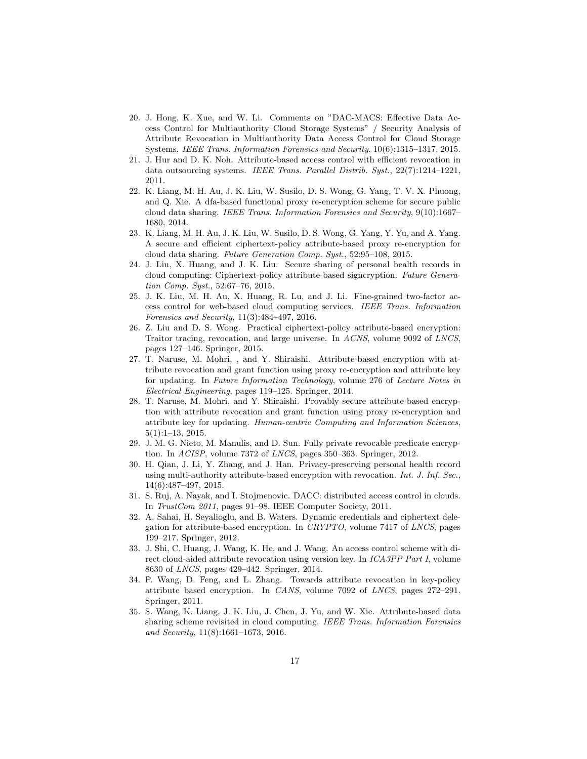- <span id="page-16-15"></span>20. J. Hong, K. Xue, and W. Li. Comments on "DAC-MACS: Effective Data Access Control for Multiauthority Cloud Storage Systems" / Security Analysis of Attribute Revocation in Multiauthority Data Access Control for Cloud Storage Systems. IEEE Trans. Information Forensics and Security, 10(6):1315–1317, 2015.
- <span id="page-16-13"></span>21. J. Hur and D. K. Noh. Attribute-based access control with efficient revocation in data outsourcing systems. IEEE Trans. Parallel Distrib. Syst., 22(7):1214–1221, 2011.
- <span id="page-16-1"></span>22. K. Liang, M. H. Au, J. K. Liu, W. Susilo, D. S. Wong, G. Yang, T. V. X. Phuong, and Q. Xie. A dfa-based functional proxy re-encryption scheme for secure public cloud data sharing. IEEE Trans. Information Forensics and Security, 9(10):1667– 1680, 2014.
- <span id="page-16-2"></span>23. K. Liang, M. H. Au, J. K. Liu, W. Susilo, D. S. Wong, G. Yang, Y. Yu, and A. Yang. A secure and efficient ciphertext-policy attribute-based proxy re-encryption for cloud data sharing. Future Generation Comp. Syst., 52:95–108, 2015.
- <span id="page-16-4"></span>24. J. Liu, X. Huang, and J. K. Liu. Secure sharing of personal health records in cloud computing: Ciphertext-policy attribute-based signcryption. Future Generation Comp. Syst., 52:67–76, 2015.
- <span id="page-16-0"></span>25. J. K. Liu, M. H. Au, X. Huang, R. Lu, and J. Li. Fine-grained two-factor access control for web-based cloud computing services. IEEE Trans. Information Forensics and Security, 11(3):484–497, 2016.
- <span id="page-16-11"></span>26. Z. Liu and D. S. Wong. Practical ciphertext-policy attribute-based encryption: Traitor tracing, revocation, and large universe. In ACNS, volume 9092 of LNCS, pages 127–146. Springer, 2015.
- <span id="page-16-6"></span>27. T. Naruse, M. Mohri, , and Y. Shiraishi. Attribute-based encryption with attribute revocation and grant function using proxy re-encryption and attribute key for updating. In Future Information Technology, volume 276 of Lecture Notes in Electrical Engineering, pages 119–125. Springer, 2014.
- <span id="page-16-8"></span>28. T. Naruse, M. Mohri, and Y. Shiraishi. Provably secure attribute-based encryption with attribute revocation and grant function using proxy re-encryption and attribute key for updating. Human-centric Computing and Information Sciences, 5(1):1–13, 2015.
- <span id="page-16-10"></span>29. J. M. G. Nieto, M. Manulis, and D. Sun. Fully private revocable predicate encryption. In ACISP, volume 7372 of LNCS, pages 350–363. Springer, 2012.
- <span id="page-16-7"></span>30. H. Qian, J. Li, Y. Zhang, and J. Han. Privacy-preserving personal health record using multi-authority attribute-based encryption with revocation. Int. J. Inf. Sec., 14(6):487–497, 2015.
- <span id="page-16-12"></span>31. S. Ruj, A. Nayak, and I. Stojmenovic. DACC: distributed access control in clouds. In TrustCom 2011, pages 91–98. IEEE Computer Society, 2011.
- <span id="page-16-5"></span>32. A. Sahai, H. Seyalioglu, and B. Waters. Dynamic credentials and ciphertext delegation for attribute-based encryption. In CRYPTO, volume 7417 of LNCS, pages 199–217. Springer, 2012.
- <span id="page-16-14"></span>33. J. Shi, C. Huang, J. Wang, K. He, and J. Wang. An access control scheme with direct cloud-aided attribute revocation using version key. In *ICA3PP Part I*, volume 8630 of LNCS, pages 429–442. Springer, 2014.
- <span id="page-16-9"></span>34. P. Wang, D. Feng, and L. Zhang. Towards attribute revocation in key-policy attribute based encryption. In CANS, volume 7092 of LNCS, pages 272–291. Springer, 2011.
- <span id="page-16-3"></span>35. S. Wang, K. Liang, J. K. Liu, J. Chen, J. Yu, and W. Xie. Attribute-based data sharing scheme revisited in cloud computing. IEEE Trans. Information Forensics and Security, 11(8):1661–1673, 2016.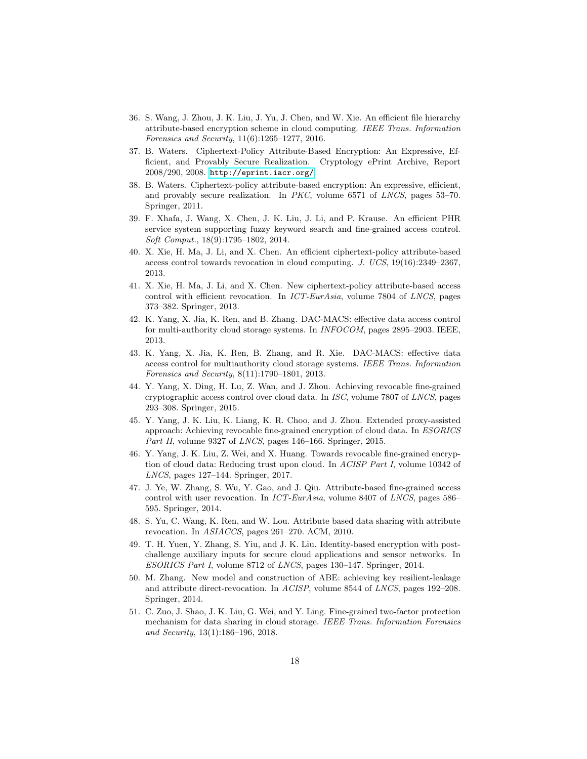- <span id="page-17-1"></span>36. S. Wang, J. Zhou, J. K. Liu, J. Yu, J. Chen, and W. Xie. An efficient file hierarchy attribute-based encryption scheme in cloud computing. IEEE Trans. Information Forensics and Security, 11(6):1265–1277, 2016.
- <span id="page-17-4"></span>37. B. Waters. Ciphertext-Policy Attribute-Based Encryption: An Expressive, Efficient, and Provably Secure Realization. Cryptology ePrint Archive, Report 2008/290, 2008. <http://eprint.iacr.org/>.
- <span id="page-17-15"></span>38. B. Waters. Ciphertext-policy attribute-based encryption: An expressive, efficient, and provably secure realization. In PKC, volume 6571 of LNCS, pages 53–70. Springer, 2011.
- <span id="page-17-3"></span>39. F. Xhafa, J. Wang, X. Chen, J. K. Liu, J. Li, and P. Krause. An efficient PHR service system supporting fuzzy keyword search and fine-grained access control. Soft Comput., 18(9):1795–1802, 2014.
- <span id="page-17-6"></span>40. X. Xie, H. Ma, J. Li, and X. Chen. An efficient ciphertext-policy attribute-based access control towards revocation in cloud computing. J. UCS, 19(16):2349–2367, 2013.
- <span id="page-17-7"></span>41. X. Xie, H. Ma, J. Li, and X. Chen. New ciphertext-policy attribute-based access control with efficient revocation. In *ICT-EurAsia*, volume 7804 of *LNCS*, pages 373–382. Springer, 2013.
- <span id="page-17-13"></span>42. K. Yang, X. Jia, K. Ren, and B. Zhang. DAC-MACS: effective data access control for multi-authority cloud storage systems. In INFOCOM, pages 2895–2903. IEEE, 2013.
- <span id="page-17-14"></span>43. K. Yang, X. Jia, K. Ren, B. Zhang, and R. Xie. DAC-MACS: effective data access control for multiauthority cloud storage systems. IEEE Trans. Information Forensics and Security, 8(11):1790–1801, 2013.
- <span id="page-17-9"></span>44. Y. Yang, X. Ding, H. Lu, Z. Wan, and J. Zhou. Achieving revocable fine-grained cryptographic access control over cloud data. In ISC, volume 7807 of LNCS, pages 293–308. Springer, 2015.
- <span id="page-17-10"></span>45. Y. Yang, J. K. Liu, K. Liang, K. R. Choo, and J. Zhou. Extended proxy-assisted approach: Achieving revocable fine-grained encryption of cloud data. In ESORICS Part II, volume 9327 of LNCS, pages 146–166. Springer, 2015.
- <span id="page-17-11"></span>46. Y. Yang, J. K. Liu, Z. Wei, and X. Huang. Towards revocable fine-grained encryption of cloud data: Reducing trust upon cloud. In ACISP Part I, volume 10342 of LNCS, pages 127–144. Springer, 2017.
- <span id="page-17-12"></span>47. J. Ye, W. Zhang, S. Wu, Y. Gao, and J. Qiu. Attribute-based fine-grained access control with user revocation. In ICT-EurAsia, volume 8407 of LNCS, pages 586– 595. Springer, 2014.
- <span id="page-17-5"></span>48. S. Yu, C. Wang, K. Ren, and W. Lou. Attribute based data sharing with attribute revocation. In ASIACCS, pages 261–270. ACM, 2010.
- <span id="page-17-0"></span>49. T. H. Yuen, Y. Zhang, S. Yiu, and J. K. Liu. Identity-based encryption with postchallenge auxiliary inputs for secure cloud applications and sensor networks. In ESORICS Part I, volume 8712 of LNCS, pages 130–147. Springer, 2014.
- <span id="page-17-8"></span>50. M. Zhang. New model and construction of ABE: achieving key resilient-leakage and attribute direct-revocation. In ACISP, volume 8544 of LNCS, pages 192–208. Springer, 2014.
- <span id="page-17-2"></span>51. C. Zuo, J. Shao, J. K. Liu, G. Wei, and Y. Ling. Fine-grained two-factor protection mechanism for data sharing in cloud storage. IEEE Trans. Information Forensics and Security, 13(1):186–196, 2018.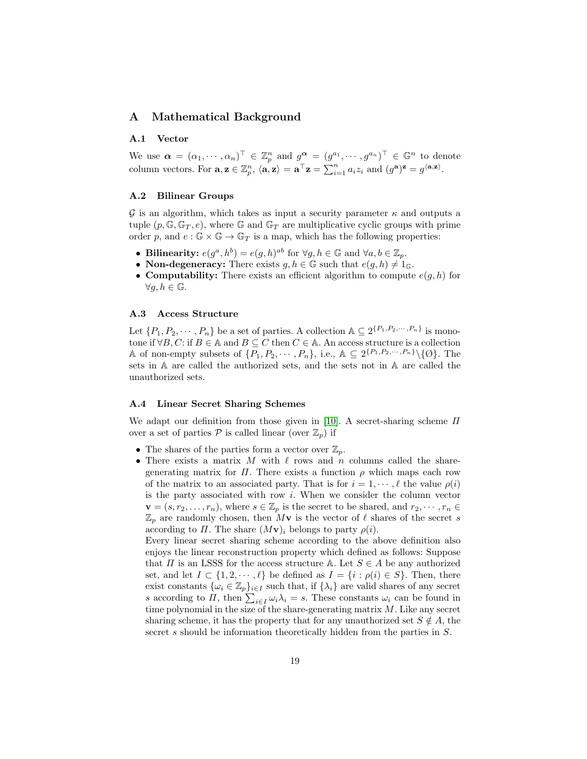## A Mathematical Background

#### A.1 Vector

We use  $\boldsymbol{\alpha} = (\alpha_1, \dots, \alpha_n)^\top \in \mathbb{Z}_p^n$  and  $g^{\boldsymbol{\alpha}} = (g^{a_1}, \dots, g^{a_n})^\top \in \mathbb{G}^n$  to denote column vectors. For  $\mathbf{a}, \mathbf{z} \in \mathbb{Z}_p^n$ ,  $\langle \mathbf{a}, \mathbf{z} \rangle = \mathbf{a}^\top \mathbf{z} = \sum_{i=1}^n a_i z_i$  and  $(g^{\mathbf{a}})^{\mathbf{z}} = g^{\langle \mathbf{a}, \mathbf{z} \rangle}$ .

#### A.2 Bilinear Groups

 $\mathcal G$  is an algorithm, which takes as input a security parameter  $\kappa$  and outputs a tuple  $(p, \mathbb{G}, \mathbb{G}_T, e)$ , where  $\mathbb{G}$  and  $\mathbb{G}_T$  are multiplicative cyclic groups with prime order p, and  $e : \mathbb{G} \times \mathbb{G} \to \mathbb{G}_T$  is a map, which has the following properties:

- Bilinearity:  $e(g^a, h^b) = e(g, h)^{ab}$  for  $\forall g, h \in \mathbb{G}$  and  $\forall a, b \in \mathbb{Z}_p$ .
- Non-degeneracy: There exists  $g, h \in \mathbb{G}$  such that  $e(g, h) \neq 1_{\mathbb{G}}$ .
- Computability: There exists an efficient algorithm to compute  $e(q, h)$  for  $\forall g, h \in \mathbb{G}$ .

#### A.3 Access Structure

Let  $\{P_1, P_2, \cdots, P_n\}$  be a set of parties. A collection  $\mathbb{A} \subseteq 2^{\{P_1, P_2, \cdots, P_n\}}$  is monotone if  $\forall B, C$ : if  $B \in \mathbb{A}$  and  $B \subseteq C$  then  $C \in \mathbb{A}$ . An access structure is a collection A of non-empty subsets of  $\{P_1, P_2, \cdots, P_n\}$ , i.e.,  $\mathbb{A} \subseteq 2^{\{P_1, P_2, \cdots, P_n\}}\setminus \{\emptyset\}$ . The sets in A are called the authorized sets, and the sets not in A are called the unauthorized sets.

#### A.4 Linear Secret Sharing Schemes

We adapt our definition from those given in [\[10\]](#page-15-17). A secret-sharing scheme  $\Pi$ over a set of parties  $P$  is called linear (over  $\mathbb{Z}_p$ ) if

- The shares of the parties form a vector over  $\mathbb{Z}_p$ .
- There exists a matrix M with  $\ell$  rows and n columns called the sharegenerating matrix for  $\Pi$ . There exists a function  $\rho$  which maps each row of the matrix to an associated party. That is for  $i = 1, \dots, \ell$  the value  $\rho(i)$ is the party associated with row  $i$ . When we consider the column vector  $\mathbf{v} = (s, r_2, \dots, r_n)$ , where  $s \in \mathbb{Z}_p$  is the secret to be shared, and  $r_2, \dots, r_n \in$  $\mathbb{Z}_p$  are randomly chosen, then Mv is the vector of  $\ell$  shares of the secret s according to  $\Pi$ . The share  $(Mv)_i$  belongs to party  $\rho(i)$ .

Every linear secret sharing scheme according to the above definition also enjoys the linear reconstruction property which defined as follows: Suppose that  $\Pi$  is an LSSS for the access structure A. Let  $S \in A$  be any authorized set, and let  $I \subset \{1, 2, \dots, \ell\}$  be defined as  $I = \{i : \rho(i) \in S\}$ . Then, there exist constants  $\{\omega_i \in \mathbb{Z}_p\}_{i\in I}$  such that, if  $\{\lambda_i\}$  are valid shares of any secret s according to  $\Pi$ , then  $\sum_{i\in I}\omega_i\lambda_i = s$ . These constants  $\omega_i$  can be found in time polynomial in the size of the share-generating matrix  $M$ . Like any secret sharing scheme, it has the property that for any unauthorized set  $S \notin A$ , the secret s should be information theoretically hidden from the parties in S.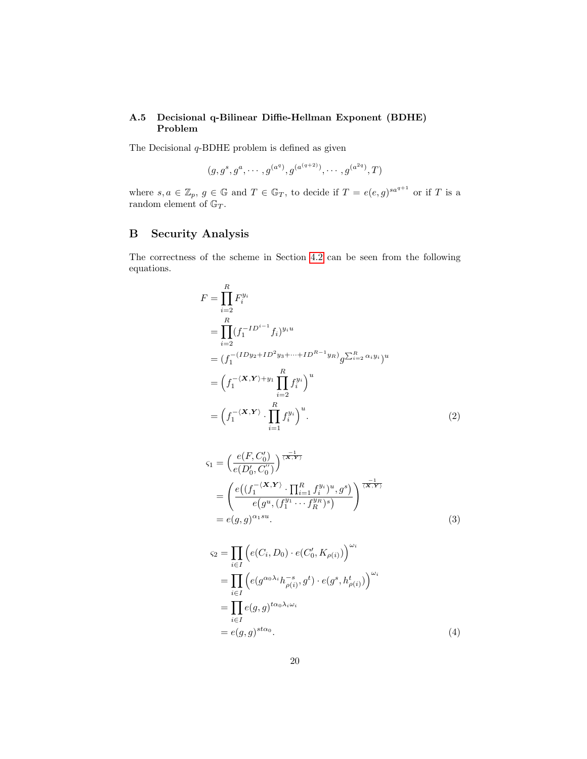# A.5 Decisional q-Bilinear Diffie-Hellman Exponent (BDHE) Problem

The Decisional  $q$ -BDHE problem is defined as given

$$
(g, g^s, g^a, \cdots, g^{(a^q)}, g^{(a^{(q+2)})}, \cdots, g^{(a^{2q})}, T)
$$

where  $s, a \in \mathbb{Z}_p$ ,  $g \in \mathbb{G}$  and  $T \in \mathbb{G}_T$ , to decide if  $T = e(e, g)^{sa^{q+1}}$  or if T is a random element of  $\mathbb{G}_T$ .

# B Security Analysis

The correctness of the scheme in Section [4.2](#page-10-0) can be seen from the following equations.

$$
F = \prod_{i=2}^{R} F_i^{y_i}
$$
  
= 
$$
\prod_{i=2}^{R} (f_1^{-ID^{i-1}} f_i)^{y_i u}
$$
  
= 
$$
(f_1^{-(IDy_2 + ID^2 y_3 + \dots + ID^{R-1} y_R)} g^{\sum_{i=2}^{R} \alpha_i y_i})^u
$$
  
= 
$$
(f_1^{-\langle \mathbf{X}, \mathbf{Y} \rangle + y_1} \prod_{i=2}^{R} f_i^{y_i})^u
$$
  
= 
$$
(f_1^{-\langle \mathbf{X}, \mathbf{Y} \rangle} \cdot \prod_{i=1}^{R} f_i^{y_i})^u.
$$
 (2)

$$
\begin{split} \varsigma_{1} &= \left(\frac{e(F, C_{0}')}{e(D_{0}', C_{0}'')}\right)^{\frac{-1}{\langle \mathbf{x}, \mathbf{y} \rangle}} \\ &= \left(\frac{e\left((f_{1}^{-(\mathbf{x}, \mathbf{y})} \cdot \prod_{i=1}^{R} f_{i}^{y_{i}}\right)^{u}, g^{s}\right)}{e(g^{u}, (f_{1}^{y_{1}} \cdots f_{R}^{y_{R}})^{s})}\right)^{\frac{-1}{\langle \mathbf{x}, \mathbf{y} \rangle}} \\ &= e(g, g)^{\alpha_{1}su} . \end{split} \tag{3}
$$

$$
\begin{split} \varsigma_{2} &= \prod_{i \in I} \left( e(C_{i}, D_{0}) \cdot e(C_{0}', K_{\rho(i)}) \right)^{\omega_{i}} \\ &= \prod_{i \in I} \left( e(g^{\alpha_{0}\lambda_{i}} h_{\rho(i)}^{-s}, g^{t}) \cdot e(g^{s}, h_{\rho(i)}^{t}) \right)^{\omega_{i}} \\ &= \prod_{i \in I} e(g, g)^{t\alpha_{0}\lambda_{i}\omega_{i}} \\ &= e(g, g)^{st\alpha_{0}}. \end{split} \tag{4}
$$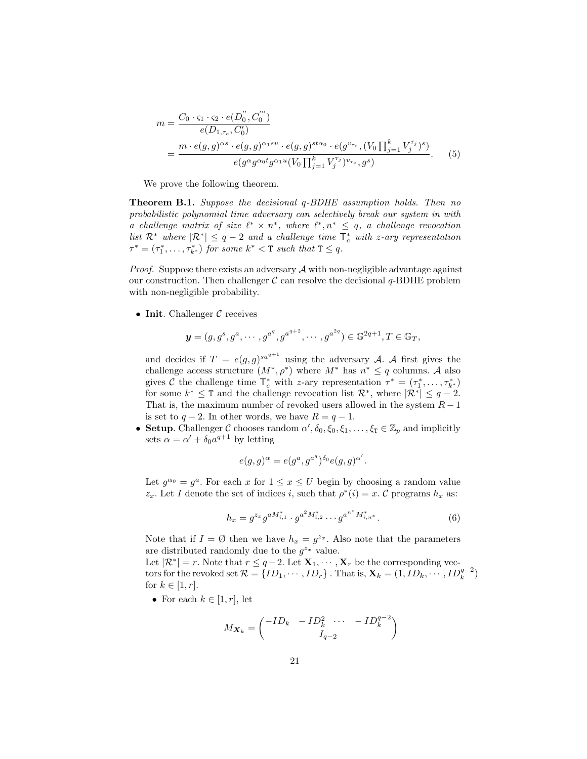$$
m = \frac{C_0 \cdot \varsigma_1 \cdot \varsigma_2 \cdot e(D_0'', C_0''')}{e(D_{1,\tau_c}, C_0')}
$$
  
= 
$$
\frac{m \cdot e(g,g)^{\alpha s} \cdot e(g,g)^{\alpha_1 s u} \cdot e(g,g)^{st\alpha_0} \cdot e(g^{v_{\tau_c}}, (V_0 \prod_{j=1}^k V_j^{\tau_j})^s)}{e(g^{\alpha} g^{\alpha_0 t} g^{\alpha_1 u} (V_0 \prod_{j=1}^k V_j^{\tau_j})^{v_{\tau_c}}, g^s)}.
$$
 (5)

We prove the following theorem.

Theorem B.1. Suppose the decisional q-BDHE assumption holds. Then no probabilistic polynomial time adversary can selectively break our system in with a challenge matrix of size  $\ell^* \times n^*$ , where  $\ell^*, n^* \leq q$ , a challenge revocation list  $\mathcal{R}^*$  where  $|\mathcal{R}^*| \leq q-2$  and a challenge time  $\mathsf{T}_c^*$  with z-ary representation  $\tau^* = (\tau_1^*, \ldots, \tau_{k^*}^*)$  for some  $k^* <$  T such that  $T \leq q$ .

*Proof.* Suppose there exists an adversary  $A$  with non-negligible advantage against our construction. Then challenger  $\mathcal C$  can resolve the decisional q-BDHE problem with non-negligible probability.

• Init. Challenger  $C$  receives

$$
y = (g, g^s, g^a, \cdots, g^{a^q}, g^{a^{q+2}}, \cdots, g^{a^{2q}}) \in \mathbb{G}^{2q+1}, T \in \mathbb{G}_T
$$

and decides if  $T = e(g, g)^{sa^{q+1}}$  using the adversary A. A first gives the challenge access structure  $(M^*, \rho^*)$  where  $M^*$  has  $n^* \leq q$  columns. A also gives C the challenge time  $\mathsf{T}^*_c$  with z-ary representation  $\tau^* = (\tau_1^*, \ldots, \tau_{k^*}^*)$ for some  $k^* \leq T$  and the challenge revocation list  $\mathcal{R}^*$ , where  $|\mathcal{R}^*| \leq q-2$ . That is, the maximum number of revoked users allowed in the system  $R-1$ is set to  $q - 2$ . In other words, we have  $R = q - 1$ .

• Setup. Challenger C chooses random  $\alpha', \delta_0, \xi_0, \xi_1, \ldots, \xi_T \in \mathbb{Z}_p$  and implicitly sets  $\alpha = \alpha' + \delta_0 a^{q+1}$  by letting

<span id="page-20-0"></span>
$$
e(g,g)^{\alpha} = e(g^a, g^{a^q})^{\delta_0} e(g,g)^{\alpha'}.
$$

Let  $g^{\alpha_0} = g^a$ . For each x for  $1 \le x \le U$  begin by choosing a random value  $z_x$ . Let I denote the set of indices i, such that  $\rho^*(i) = x$ . C programs  $h_x$  as:

$$
h_x = g^{z_x} g^{a M_{i,1}^*} \cdot g^{a^2 M_{i,2}^*} \cdots g^{a^{n^*} M_{i,n^*}^*}.
$$
 (6)

Note that if  $I = \emptyset$  then we have  $h_x = g^{z_x}$ . Also note that the parameters are distributed randomly due to the  $g^{z_x}$  value.

Let  $|\mathcal{R}^*| = r$ . Note that  $r \leq q-2$ . Let  $\mathbf{X}_1, \cdots, \mathbf{X}_r$  be the corresponding vectors for the revoked set  $\mathcal{R} = \{ID_1, \cdots, ID_r\}$  . That is,  $\mathbf{X}_k = (1, ID_k, \cdots, ID_k^{q-2})$ for  $k \in [1, r]$ .

• For each  $k \in [1, r]$ , let

$$
M_{\mathbf{X}_k} = \begin{pmatrix} -ID_k & -ID_k^2 & \cdots & -ID_k^{q-2} \\ I_{q-2} & \end{pmatrix}
$$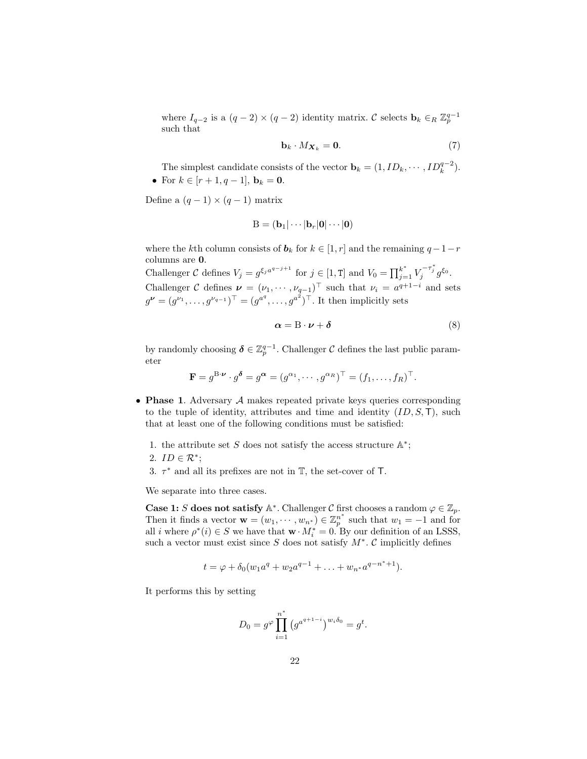<span id="page-21-1"></span>where  $I_{q-2}$  is a  $(q-2) \times (q-2)$  identity matrix. C selects  $\mathbf{b}_k \in_R \mathbb{Z}_p^{q-1}$ such that

$$
\mathbf{b}_k \cdot M_{\mathbf{X}_k} = \mathbf{0}.\tag{7}
$$

The simplest candidate consists of the vector  $\mathbf{b}_k = (1, ID_k, \cdots, ID_k^{q-2}).$ • For  $k \in [r+1, q-1]$ ,  $\mathbf{b}_k = \mathbf{0}$ .

Define a  $(q-1) \times (q-1)$  matrix

$$
B = (\mathbf{b}_1 | \cdots | \mathbf{b}_r | \mathbf{0} | \cdots | \mathbf{0})
$$

where the kth column consists of  $\mathbf{b}_k$  for  $k \in [1, r]$  and the remaining  $q - 1 - r$ columns are 0.

Challenger C defines  $V_j = g^{\xi_j a^{q-j+1}}$  for  $j \in [1, T]$  and  $V_0 = \prod_{j=1}^{k^*} V_j^{-\tau_j^*} g^{\xi_0}$ . Challenger C defines  $\nu = (\nu_1, \dots, \nu_{q-1})^\top$  such that  $\nu_i = a^{q+1-i}$  and sets  $g^{\nu} = (g^{\nu_1}, \ldots, g^{\nu_{q-1}})^{\top} = (g^{a^q}, \ldots, g^{a^2})^{\top}$ . It then implicitly sets

<span id="page-21-0"></span>
$$
\alpha = \mathbf{B} \cdot \boldsymbol{\nu} + \boldsymbol{\delta} \tag{8}
$$

by randomly choosing  $\delta \in \mathbb{Z}_p^{q-1}$ . Challenger C defines the last public parameter

$$
\mathbf{F} = g^{\mathbf{B} \cdot \boldsymbol{\nu}} \cdot g^{\boldsymbol{\delta}} = g^{\boldsymbol{\alpha}} = (g^{\alpha_1}, \cdots, g^{\alpha_R})^{\top} = (f_1, \ldots, f_R)^{\top}.
$$

- Phase 1. Adversary A makes repeated private keys queries corresponding to the tuple of identity, attributes and time and identity  $(ID, S, T)$ , such that at least one of the following conditions must be satisfied:
	- 1. the attribute set S does not satisfy the access structure  $\mathbb{A}^*$ ;
	- 2.  $ID \in \mathcal{R}^*$ ;
	- 3.  $\tau^*$  and all its prefixes are not in  $\mathbb{T}$ , the set-cover of T.

We separate into three cases.

**Case 1:** S does not satisfy  $A^*$ . Challenger C first chooses a random  $\varphi \in \mathbb{Z}_p$ . Then it finds a vector  $\mathbf{w} = (w_1, \dots, w_{n^*}) \in \mathbb{Z}_p^{n^*}$  such that  $w_1 = -1$  and for all *i* where  $\rho^*(i) \in S$  we have that  $\mathbf{w} \cdot M_i^* = 0$ . By our definition of an LSSS, such a vector must exist since S does not satisfy  $M^*$ . C implicitly defines

$$
t = \varphi + \delta_0 (w_1 a^q + w_2 a^{q-1} + \ldots + w_{n^*} a^{q-n^*+1}).
$$

It performs this by setting

$$
D_0 = g^{\varphi} \prod_{i=1}^{n^*} (g^{a^{q+1-i}})^{w_i \delta_0} = g^t.
$$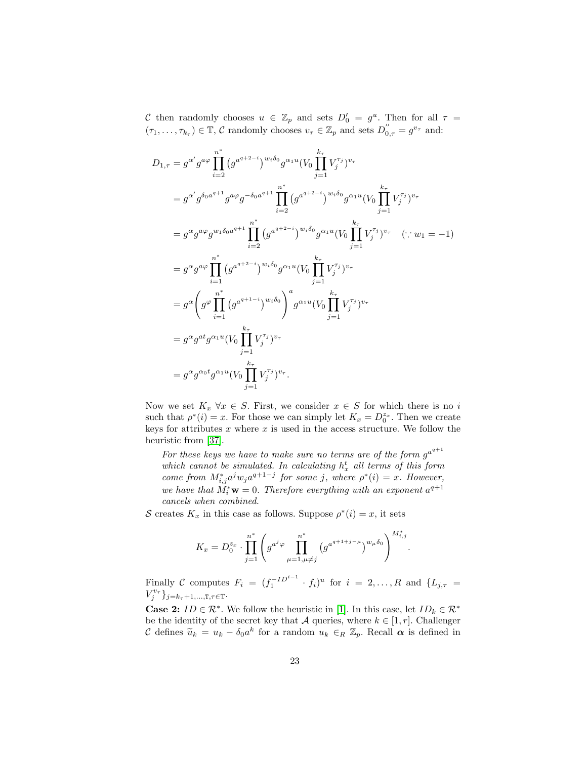C then randomly chooses  $u \in \mathbb{Z}_p$  and sets  $D'_0 = g^u$ . Then for all  $\tau =$  $(\tau_1,\ldots,\tau_{k_{\tau}})\in\mathbb{T},\,\mathcal{C}$  randomly chooses  $v_{\tau}\in\mathbb{Z}_p$  and sets  $D_{0,\tau}^{''}=g^{v_{\tau}}$  and:

$$
D_{1,\tau} = g^{\alpha'} g^{\alpha\varphi} \prod_{i=2}^{n^*} (g^{a^{q+2-i}})^{w_i \delta_0} g^{\alpha_1 u} (V_0 \prod_{j=1}^{k_{\tau}} V_j^{\tau_j})^{v_{\tau}}
$$
  
\n
$$
= g^{\alpha'} g^{\delta_0 a^{q+1}} g^{a\varphi} g^{-\delta_0 a^{q+1}} \prod_{i=2}^{n^*} (g^{a^{q+2-i}})^{w_i \delta_0} g^{\alpha_1 u} (V_0 \prod_{j=1}^{k_{\tau}} V_j^{\tau_j})^{v_{\tau}}
$$
  
\n
$$
= g^{\alpha} g^{a\varphi} g^{w_1 \delta_0 a^{q+1}} \prod_{i=2}^{n^*} (g^{a^{q+2-i}})^{w_i \delta_0} g^{\alpha_1 u} (V_0 \prod_{j=1}^{k_{\tau}} V_j^{\tau_j})^{v_{\tau}} \quad (\because w_1 = -1)
$$
  
\n
$$
= g^{\alpha} g^{a\varphi} \prod_{i=1}^{n^*} (g^{a^{q+2-i}})^{w_i \delta_0} g^{\alpha_1 u} (V_0 \prod_{j=1}^{k_{\tau}} V_j^{\tau_j})^{v_{\tau}}
$$
  
\n
$$
= g^{\alpha} \left( g^{\varphi} \prod_{i=1}^{n^*} (g^{a^{q+1-i}})^{w_i \delta_0} \right)^a g^{\alpha_1 u} (V_0 \prod_{j=1}^{k_{\tau}} V_j^{\tau_j})^{v_{\tau}}
$$
  
\n
$$
= g^{\alpha} g^{a t} g^{\alpha_1 u} (V_0 \prod_{j=1}^{k_{\tau}} V_j^{\tau_j})^{v_{\tau}}
$$
  
\n
$$
= g^{\alpha} g^{\alpha_0 t} g^{\alpha_1 u} (V_0 \prod_{j=1}^{k_{\tau}} V_j^{\tau_j})^{v_{\tau}}.
$$

Now we set  $K_x \,\forall x \in S$ . First, we consider  $x \in S$  for which there is no i such that  $\rho^*(i) = x$ . For those we can simply let  $K_x = D_0^{z_x}$ . Then we create keys for attributes  $x$  where  $x$  is used in the access structure. We follow the heuristic from [\[37\]](#page-17-4).

For these keys we have to make sure no terms are of the form  $g^{a^{q+1}}$ which cannot be simulated. In calculating  $h_x^t$  all terms of this form come from  $M^*_{i,j}a^jw_ja^{q+1-j}$  for some j, where  $\rho^*(i) = x$ . However, we have that  $\tilde{M}_i^* \mathbf{w} = 0$ . Therefore everything with an exponent  $a^{q+1}$ cancels when combined.

S creates  $K_x$  in this case as follows. Suppose  $\rho^*(i) = x$ , it sets

$$
K_x = D_0^{z_x} \cdot \prod_{j=1}^{n^*} \left( g^{a^j \varphi} \prod_{\mu=1, \mu \neq j}^{n^*} \left( g^{a^{q+1+j-\mu}} \right)^{w_\mu \delta_0} \right)^{M^*_{i,j}}.
$$

Finally C computes  $F_i = (f_1^{-ID^{i-1}} \cdot f_i)^u$  for  $i = 2, ..., R$  and  $\{L_{j,\tau}\}$  $V_j^{v_{\tau}}\}_{j=k_{\tau}+1,\ldots,\mathtt{T},\tau\in\mathbb{T}}.$ 

**Case 2:**  $ID \in \mathbb{R}^*$ . We follow the heuristic in [\[1\]](#page-14-0). In this case, let  $ID_k \in \mathbb{R}^*$ be the identity of the secret key that A queries, where  $k \in [1, r]$ . Challenger C defines  $\tilde{u}_k = u_k - \delta_0 a^k$  for a random  $u_k \in_R \mathbb{Z}_p$ . Recall  $\alpha$  is defined in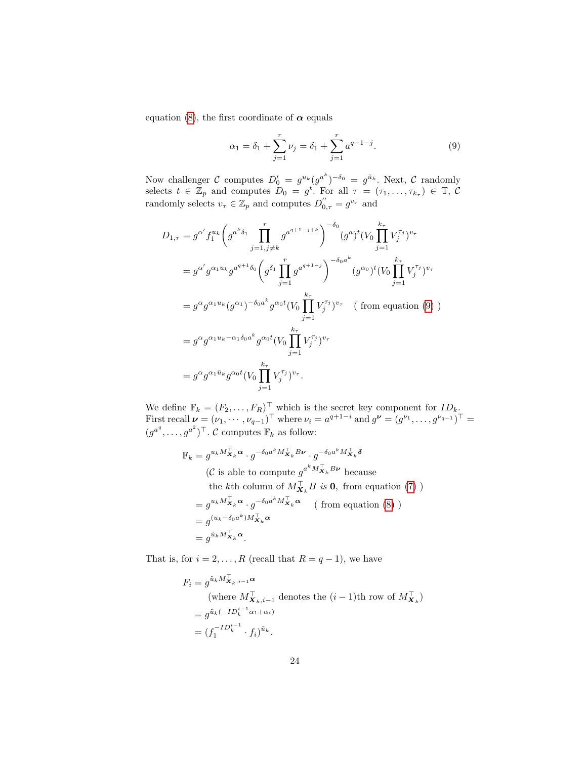equation [\(8\)](#page-21-0), the first coordinate of  $\alpha$  equals

<span id="page-23-0"></span>
$$
\alpha_1 = \delta_1 + \sum_{j=1}^r \nu_j = \delta_1 + \sum_{j=1}^r a^{q+1-j}.
$$
 (9)

Now challenger C computes  $D'_0 = g^{u_k}(g^{a^k})^{-\delta_0} = g^{\tilde{u}_k}$ . Next, C randomly selects  $t \in \mathbb{Z}_p$  and computes  $D_0 = g^t$ . For all  $\tau = (\tau_1, \ldots, \tau_{k_{\tau}}) \in \mathbb{T}$ , C randomly selects  $v_{\tau} \in \mathbb{Z}_p$  and computes  $D_{0,\tau}^{''} = g^{v_{\tau}}$  and

$$
D_{1,\tau} = g^{\alpha'} f_1^{u_k} \left( g^{a^k \delta_1} \prod_{j=1, j \neq k}^r g^{a^{q+1-j+k}} \right)^{-\delta_0} (g^a)^t (V_0 \prod_{j=1}^{k_{\tau}} V_j^{\tau_j})^{v_{\tau}}
$$
  
\n
$$
= g^{\alpha'} g^{\alpha_1 u_k} g^{a^{q+1} \delta_0} \left( g^{\delta_1} \prod_{j=1}^r g^{a^{q+1-j}} \right)^{-\delta_0 a^k} (g^{\alpha_0})^t (V_0 \prod_{j=1}^{k_{\tau}} V_j^{\tau_j})^{v_{\tau}}
$$
  
\n
$$
= g^{\alpha} g^{\alpha_1 u_k} (g^{\alpha_1})^{-\delta_0 a^k} g^{\alpha_0 t} (V_0 \prod_{j=1}^{k_{\tau}} V_j^{\tau_j})^{v_{\tau}} \quad \text{(from equation (9))}
$$
  
\n
$$
= g^{\alpha} g^{\alpha_1 u_k - \alpha_1 \delta_0 a^k} g^{\alpha_0 t} (V_0 \prod_{j=1}^{k_{\tau}} V_j^{\tau_j})^{v_{\tau}}
$$
  
\n
$$
= g^{\alpha} g^{\alpha_1 \tilde{u}_k} g^{\alpha_0 t} (V_0 \prod_{j=1}^{k_{\tau}} V_j^{\tau_j})^{v_{\tau}}.
$$

We define  $\mathbb{F}_k = (F_2, \ldots, F_R)^\top$  which is the secret key component for  $ID_k$ . First recall  $\mathbf{v} = (\nu_1, \dots, \nu_{q-1})^\top$  where  $\nu_i = a^{q+1-i}$  and  $g^{\mathbf{v}} = (g^{\nu_1}, \dots, g^{\nu_{q-1}})^\top =$  $(g^{a^q}, \ldots, g^{a^2})^{\top}$ . C computes  $\mathbb{F}_k$  as follow:

$$
\mathbb{F}_k = g^{u_k M_{\mathbf{X}_k}^{\mathbf{T}} \alpha} \cdot g^{-\delta_0 a^k M_{\mathbf{X}_k}^{\mathbf{T}} B \mathbf{\nu}} \cdot g^{-\delta_0 a^k M_{\mathbf{X}_k}^{\mathbf{T}} \delta}
$$
\n(C is able to compute  $g^{a^k M_{\mathbf{X}_k}^{\mathbf{T}} B \mathbf{\nu}}$  because  
\nthe *k*th column of  $M_{\mathbf{X}_k}^{\mathbf{T}} B$  is **0**, from equation (7))  
\n
$$
= g^{u_k M_{\mathbf{X}_k}^{\mathbf{T}} \alpha} \cdot g^{-\delta_0 a^k M_{\mathbf{X}_k}^{\mathbf{T}} \alpha}
$$
 (from equation (8))  
\n
$$
= g^{(u_k - \delta_0 a^k) M_{\mathbf{X}_k}^{\mathbf{T}} \alpha}
$$
  
\n
$$
= g^{\tilde{u}_k M_{\mathbf{X}_k}^{\mathbf{T}} \alpha}.
$$

That is, for  $i = 2, ..., R$  (recall that  $R = q - 1$ ), we have

$$
F_i = g^{\tilde{u}_k M_{\mathbf{X}_k, i-1}^{\mathsf{T}} \alpha}
$$
  
\n(where  $M_{\mathbf{X}_k, i-1}^{\mathsf{T}}$  denotes the  $(i-1)$ th row of  $M_{\mathbf{X}_k}^{\mathsf{T}}$ )  
\n
$$
= g^{\tilde{u}_k(-ID_k^{i-1}\alpha_1 + \alpha_i)}
$$
  
\n
$$
= (f_1^{-ID_k^{i-1}} \cdot f_i)^{\tilde{u}_k}.
$$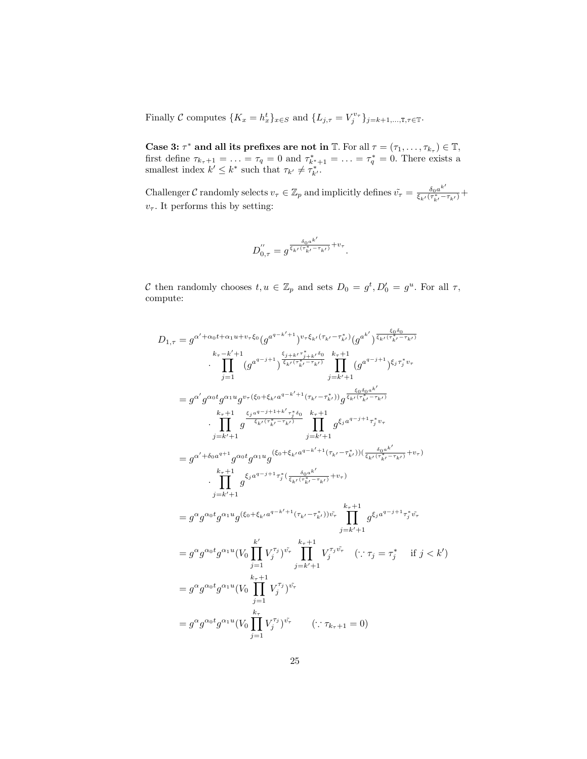Finally C computes  $\{K_x = h_x^t\}_{x \in S}$  and  $\{L_{j,\tau} = V_j^{v_{\tau}}\}_{j=k+1,\ldots,T,\tau \in \mathbb{T}}$ .

Case 3:  $\tau^*$  and all its prefixes are not in  $\mathbb{T}$ . For all  $\tau = (\tau_1, \ldots, \tau_{k_{\tau}}) \in \mathbb{T}$ , first define  $\tau_{k_{\tau}+1} = \ldots = \tau_q = 0$  and  $\tau_{k^*+1}^* = \ldots = \tau_q^* = 0$ . There exists a smallest index  $k' \leq k^*$  such that  $\tau_{k'} \neq \tau_{k'}^*$ .

Challenger C randomly selects  $v_\tau \in \mathbb{Z}_p$  and implicitly defines  $\tilde{v}_\tau = \frac{\delta_0 a^{k'}}{\epsilon \sqrt{\tau^* - 1}}$  $\frac{\delta_0 a^{\pi}}{\xi_{k'}(\tau_{k'}^* - \tau_{k'})} +$  $v_{\tau}$ . It performs this by setting:

$$
D_{0,\tau}^{''}=g^{\frac{\delta_0 a^{k'}}{\xi_{k'}(\tau_{k'}^*-\tau_{k'})}+v_{\tau}}.
$$

C then randomly chooses  $t, u \in \mathbb{Z}_p$  and sets  $D_0 = g^t, D'_0 = g^u$ . For all  $\tau$ , compute:

$$
D_{1,\tau} = g^{\alpha' + \alpha_0 t + \alpha_1 u + v_{\tau} \xi_0} (g^{a^{\alpha - k' + 1}})^{v_{\tau} \xi_{k'} (\tau_{k'} - \tau_{k'}^{*})} (g^{a^{k'}})^{\frac{\xi_0 \xi_0}{\xi_{k'} (\tau_{k'}^{*} - \tau_{k'})}} \n\cdot \prod_{j=1}^{k_{\tau} - k' + 1} (g^{a^{\alpha - j + 1}})^{\frac{\xi_{j+k'} \tau_{j+k'}^{*} \xi_0}{\xi_{k'} (\tau_{k'}^{*} - \tau_{k'})}} \prod_{j=k'+1}^{k_{\tau} + 1} (g^{a^{\alpha - j + 1}})^{\xi_j \tau_j^{*} v_{\tau}} \n= g^{\alpha'} g^{\alpha_0 t} g^{\alpha_1 u} g^{\nu_{\tau} (\xi_0 + \xi_{k'} a^{\alpha - k' + 1} (\tau_{k'} - \tau_{k'}^{*}))} g^{\frac{\xi_0 \delta_0 a^{k'}}{\xi_{k'} (\tau_{k'}^{*} - \tau_{k'})}} \n\cdot \prod_{j=k'+1}^{k_{\tau} + 1} g^{\frac{\xi_{j} a^{\alpha - j + 1 + k'} \tau_j^{*} \delta_0}{\xi_{k'} (\tau_{k'}^{*} - \tau_{k'})}} \prod_{j=k'+1}^{k_{\tau} + 1} g^{\xi_j a^{\alpha - j + 1} \tau_j^{*} v_{\tau}} \n= g^{\alpha' + \delta_0 a^{\alpha + 1}} g^{\alpha_0 t} g^{\alpha_1 u} g^{\left(\xi_0 + \xi_{k'} a^{\alpha - k' + 1} (\tau_{k'} - \tau_{k'}^{*})\right) (\frac{\delta_0 a^{k'}}{\xi_{k'} (\tau_{k'}^{*} - \tau_{k'})} + v_{\tau})} \n= g^{\alpha} g^{\alpha_0 t} g^{\alpha_1 u} g^{\left(\xi_0 + \xi_{k'} a^{\alpha - k' + 1} (\tau_{k'} - \tau_{k'}^{*})\right) \tilde{v}_{\tau}} \prod_{j=k'+1}^{k_{\tau} + 1} g^{\xi_j a^{\alpha - j + 1} \tau_j^{*} \tilde{v}_{\tau}} \n= g^{\alpha} g^{\alpha_0 t} g^{\alpha_1 u} (V_0 \prod_{j=1}^{k'} V_j^{\tau_j})
$$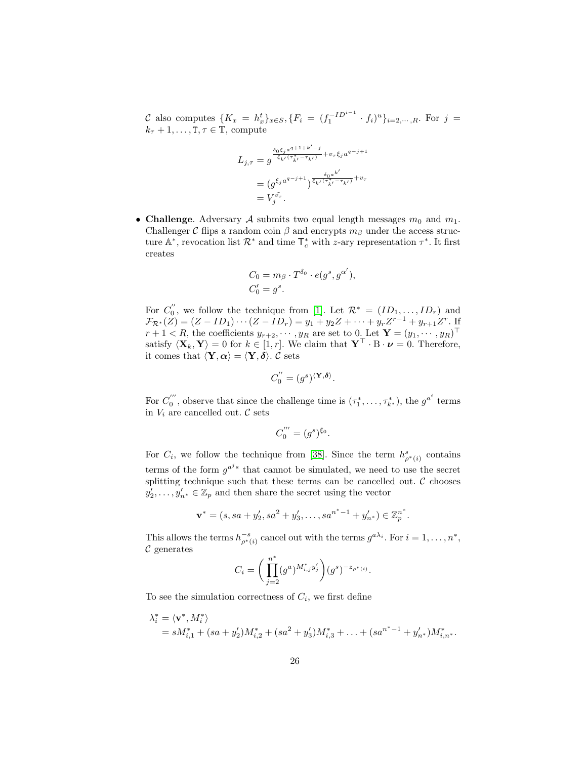C also computes  $\{K_x = h_x^t\}_{x \in S}, \{F_i = (f_1^{-ID^{i-1}} \cdot f_i)^u\}_{i=2,\dots,R}$ . For  $j =$  $k_{\tau} + 1, \ldots, T, \tau \in \mathbb{T}$ , compute

$$
L_{j,\tau} = g^{\frac{\delta_0 \xi_j a^{q+1+k'-j}}{\xi_{k'}(\tau_{k'}^* - \tau_{k'})} + v_{\tau} \xi_j a^{q-j+1}}
$$
  
= 
$$
(g^{\xi_j a^{q-j+1}})^{\frac{\delta_0 a^{k'}}{\xi_{k'}(\tau_{k'}^* - \tau_{k'})} + v_{\tau}}
$$
  
= 
$$
V_j^{\tilde{v_{\tau}}}.
$$

• Challenge. Adversary A submits two equal length messages  $m_0$  and  $m_1$ . Challenger C flips a random coin  $\beta$  and encrypts  $m_{\beta}$  under the access structure  $\mathbb{A}^*$ , revocation list  $\mathcal{R}^*$  and time  $\mathsf{T}_c^*$  with z-ary representation  $\tau^*$ . It first creates

$$
C_0 = m_\beta \cdot T^{\delta_0} \cdot e(g^s, g^{\alpha'}),
$$
  

$$
C'_0 = g^s.
$$

For  $C_0''$ , we follow the technique from [\[1\]](#page-14-0). Let  $\mathcal{R}^* = (ID_1, \ldots, ID_r)$  and  $\mathcal{F}_{\mathcal{R}^*}(Z) = (Z - ID_1) \cdots (Z - ID_r) = y_1 + y_2 Z + \cdots + y_r Z^{r-1} + y_{r+1} Z^r$ . If  $r+1 < R$ , the coefficients  $y_{r+2}, \dots, y_R$  are set to 0. Let  $\mathbf{Y} = (y_1, \dots, y_R)^\top$ satisfy  $\langle \mathbf{X}_k, \mathbf{Y} \rangle = 0$  for  $k \in [1, r]$ . We claim that  $\mathbf{Y}^\top \cdot B \cdot \boldsymbol{\nu} = 0$ . Therefore, it comes that  $\langle \mathbf{Y}, \boldsymbol{\alpha} \rangle = \langle \mathbf{Y}, \boldsymbol{\delta} \rangle$ . C sets

$$
C_0^{''}=(g^s)^{\langle \mathbf{Y}, \pmb{\delta} \rangle}.
$$

For  $C_0^{'''}$ , observe that since the challenge time is  $(\tau_1^*, \ldots, \tau_{k^*}^*)$ , the  $g^{a^i}$  terms in  $V_i$  are cancelled out.  $\mathcal C$  sets

$$
C_0^{'''} = (g^s)^{\xi_0}.
$$

For  $C_i$ , we follow the technique from [\[38\]](#page-17-15). Since the term  $h^s_{\rho^*(i)}$  contains terms of the form  $g^{a^j s}$  that cannot be simulated, we need to use the secret splitting technique such that these terms can be cancelled out.  $C$  chooses  $y'_2, \ldots, y'_{n^*} \in \mathbb{Z}_p$  and then share the secret using the vector

$$
\mathbf{v}^* = (s, sa + y_2', sa^2 + y_3', \dots, sa^{n^* - 1} + y_{n^*}') \in \mathbb{Z}_p^{n^*}.
$$

This allows the terms  $h^{-s}_{\rho^*(i)}$  cancel out with the terms  $g^{a\lambda_i}$ . For  $i = 1, \ldots, n^*$ ,  $\mathcal C$  generates

$$
C_i = \bigg(\prod_{j=2}^{n^*} (g^a)^{M^*_{i,j}y'_j}\bigg)(g^s)^{-z_{\rho^*(i)}}.
$$

To see the simulation correctness of  $C_i$ , we first define

$$
\lambda_i^* = \langle \mathbf{v}^*, M_i^* \rangle
$$
  
=  $sM_{i,1}^* + (sa + y_2')M_{i,2}^* + (sa^2 + y_3')M_{i,3}^* + \dots + (sa^{n^*-1} + y_{n^*}')M_{i,n^*}^*.$